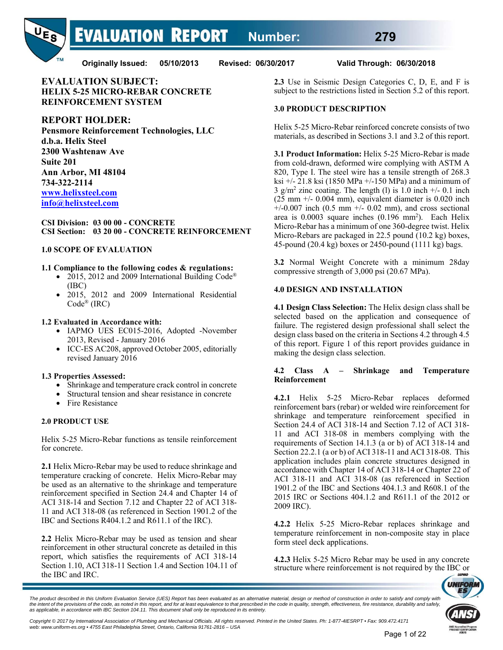**EVALUATION REPORT Number: 279**



**Originally Issued: 05/10/2013 Revised: 06/30/2017 Valid Through: 06/30/2018** 

**EVALUATION SUBJECT: HELIX 5-25 MICRO-REBAR CONCRETE REINFORCEMENT SYSTEM** 

# **REPORT HOLDER:**

**Pensmore Reinforcement Technologies, LLC d.b.a. Helix Steel 2300 Washtenaw Ave Suite 201 Ann Arbor, MI 48104 734-322-2114 www.helixsteel.com info@helixsteel.com**

#### **CSI Division: 03 00 00 - CONCRETE CSI Section: 03 20 00 - CONCRETE REINFORCEMENT**

#### **1.0 SCOPE OF EVALUATION**

#### **1.1 Compliance to the following codes & regulations:**

- 2015, 2012 and 2009 International Building Code<sup>®</sup> (IBC)
- 2015, 2012 and 2009 International Residential Code® (IRC)

#### **1.2 Evaluated in Accordance with:**

- IAPMO UES EC015-2016, Adopted -November 2013, Revised - January 2016
- ICC-ES AC208, approved October 2005, editorially revised January 2016

#### **1.3 Properties Assessed:**

- Shrinkage and temperature crack control in concrete
- Structural tension and shear resistance in concrete
- Fire Resistance

# **2.0 PRODUCT USE**

Helix 5-25 Micro-Rebar functions as tensile reinforcement for concrete.

**2.1** Helix Micro-Rebar may be used to reduce shrinkage and temperature cracking of concrete. Helix Micro-Rebar may be used as an alternative to the shrinkage and temperature reinforcement specified in Section 24.4 and Chapter 14 of ACI 318-14 and Section 7.12 and Chapter 22 of ACI 318- 11 and ACI 318-08 (as referenced in Section 1901.2 of the IBC and Sections R404.1.2 and R611.1 of the IRC).

**2.2** Helix Micro-Rebar may be used as tension and shear reinforcement in other structural concrete as detailed in this report, which satisfies the requirements of ACI 318-14 Section 1.10, ACI 318-11 Section 1.4 and Section 104.11 of the IBC and IRC.

**2.3** Use in Seismic Design Categories C, D, E, and F is subject to the restrictions listed in Section 5.2 of this report.

#### **3.0 PRODUCT DESCRIPTION**

Helix 5-25 Micro-Rebar reinforced concrete consists of two materials, as described in Sections 3.1 and 3.2 of this report.

**3.1 Product Information:** Helix 5-25 Micro-Rebar is made from cold-drawn, deformed wire complying with ASTM A 820, Type I. The steel wire has a tensile strength of 268.3 ksi +/- 21.8 ksi (1850 MPa +/-150 MPa) and a minimum of  $3$  g/m<sup>2</sup> zinc coating. The length (1) is 1.0 inch  $+/$ - 0.1 inch  $(25 \text{ mm} +/- 0.004 \text{ mm})$ , equivalent diameter is 0.020 inch  $+/-0.007$  inch (0.5 mm  $+/-0.02$  mm), and cross sectional area is  $0.0003$  square inches  $(0.196 \text{ mm}^2)$ . Each Helix Micro-Rebar has a minimum of one 360-degree twist. Helix Micro-Rebars are packaged in 22.5 pound (10.2 kg) boxes, 45-pound (20.4 kg) boxes or 2450-pound (1111 kg) bags.

**3.2** Normal Weight Concrete with a minimum 28day compressive strength of 3,000 psi (20.67 MPa).

#### **4.0 DESIGN AND INSTALLATION**

**4.1 Design Class Selection:** The Helix design class shall be selected based on the application and consequence of failure. The registered design professional shall select the design class based on the criteria in Sections 4.2 through 4.5 of this report. Figure 1 of this report provides guidance in making the design class selection.

#### **4.2 Class A – Shrinkage and Temperature Reinforcement**

**4.2.1** Helix 5-25 Micro-Rebar replaces deformed reinforcement bars (rebar) or welded wire reinforcement for shrinkage and temperature reinforcement specified in Section 24.4 of ACI 318-14 and Section 7.12 of ACI 318- 11 and ACI 318-08 in members complying with the requirements of Section 14.1.3 (a or b) of ACI 318-14 and Section 22.2.1 (a or b) of ACI 318-11 and ACI 318-08. This application includes plain concrete structures designed in accordance with Chapter 14 of ACI 318-14 or Chapter 22 of ACI 318-11 and ACI 318-08 (as referenced in Section 1901.2 of the IBC and Sections 404.1.3 and R608.1 of the 2015 IRC or Sections 404.1.2 and R611.1 of the 2012 or 2009 IRC).

**4.2.2** Helix 5-25 Micro-Rebar replaces shrinkage and temperature reinforcement in non-composite stay in place form steel deck applications.

**4.2.3** Helix 5-25 Micro Rebar may be used in any concrete structure where reinforcement is not required by the IBC or



<sup>.&</sup>lt;br>The product described in this Uniform Evaluation Service (UES) Report has been evaluated as an alternative material, design or method of construction in order to satisfy and comply with<br>the intent of the provisions of th *as applicable, in accordance with IBC Section 104.11. This document shall only be reproduced in its entirety.* 

Copyright © 2017 by International Association of Plumbing and Mechanical Officials. All rights reserved. Printed in the United States. Ph: 1-877-4IESRPT • Fax: 909.472.4171<br>web: www.uniform-es.org • 4755 East Philadelphia *web: www.uniform-es.org • 4755 East Philadelphia Street, Ontario, California 91761-2816 – USA*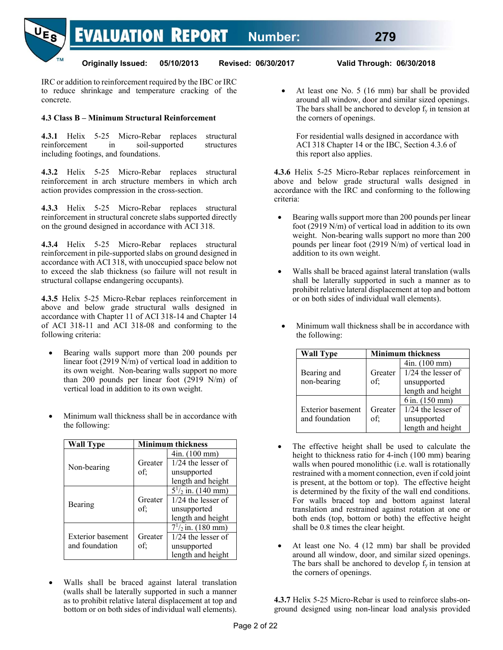

IRC or addition to reinforcement required by the IBC or IRC to reduce shrinkage and temperature cracking of the concrete.

# **4.3 Class B – Minimum Structural Reinforcement**

**4.3.1** Helix 5-25 Micro-Rebar replaces structural reinforcement in soil-supported structures including footings, and foundations.

**4.3.2** Helix 5-25 Micro-Rebar replaces structural reinforcement in arch structure members in which arch action provides compression in the cross-section.

**4.3.3** Helix 5-25 Micro-Rebar replaces structural reinforcement in structural concrete slabs supported directly on the ground designed in accordance with ACI 318.

**4.3.4** Helix 5-25 Micro-Rebar replaces structural reinforcement in pile-supported slabs on ground designed in accordance with ACI 318, with unoccupied space below not to exceed the slab thickness (so failure will not result in structural collapse endangering occupants).

**4.3.5** Helix 5-25 Micro-Rebar replaces reinforcement in above and below grade structural walls designed in accordance with Chapter 11 of ACI 318-14 and Chapter 14 of ACI 318-11 and ACI 318-08 and conforming to the following criteria:

- Bearing walls support more than 200 pounds per linear foot (2919 N/m) of vertical load in addition to its own weight. Non-bearing walls support no more than 200 pounds per linear foot (2919 N/m) of vertical load in addition to its own weight.
- Minimum wall thickness shall be in accordance with the following:

| <b>Wall Type</b>         |         | <b>Minimum thickness</b>  |  |  |  |
|--------------------------|---------|---------------------------|--|--|--|
|                          |         | 4in. (100 mm)             |  |  |  |
| Non-bearing              | Greater | $1/24$ the lesser of      |  |  |  |
|                          | of;     | unsupported               |  |  |  |
|                          |         | length and height         |  |  |  |
|                          |         | $5^{1}/_{2}$ in. (140 mm) |  |  |  |
|                          | Greater | $1/24$ the lesser of      |  |  |  |
| Bearing                  | of:     | unsupported               |  |  |  |
|                          |         | length and height         |  |  |  |
|                          |         | $7^{1}/_{2}$ in. (180 mm) |  |  |  |
| <b>Exterior</b> basement | Greater | $1/24$ the lesser of      |  |  |  |
| and foundation           | of;     | unsupported               |  |  |  |
|                          |         | length and height         |  |  |  |

 Walls shall be braced against lateral translation (walls shall be laterally supported in such a manner as to prohibit relative lateral displacement at top and bottom or on both sides of individual wall elements).  At least one No. 5 (16 mm) bar shall be provided around all window, door and similar sized openings. The bars shall be anchored to develop  $f_y$  in tension at the corners of openings.

For residential walls designed in accordance with ACI 318 Chapter 14 or the IBC, Section 4.3.6 of this report also applies.

**4.3.6** Helix 5-25 Micro-Rebar replaces reinforcement in above and below grade structural walls designed in accordance with the IRC and conforming to the following criteria:

- Bearing walls support more than 200 pounds per linear foot (2919 N/m) of vertical load in addition to its own weight. Non-bearing walls support no more than 200 pounds per linear foot (2919 N/m) of vertical load in addition to its own weight.
- Walls shall be braced against lateral translation (walls shall be laterally supported in such a manner as to prohibit relative lateral displacement at top and bottom or on both sides of individual wall elements).
	- Minimum wall thickness shall be in accordance with the following:

| <b>Wall Type</b>         | <b>Minimum thickness</b> |                      |  |  |
|--------------------------|--------------------------|----------------------|--|--|
|                          |                          | 4in. (100 mm)        |  |  |
| Bearing and              | Greater                  | $1/24$ the lesser of |  |  |
| non-bearing              | of:                      | unsupported          |  |  |
|                          |                          | length and height    |  |  |
|                          |                          | $6$ in. $(150$ mm)   |  |  |
| <b>Exterior basement</b> | Greater                  | $1/24$ the lesser of |  |  |
| and foundation           | of:                      | unsupported          |  |  |
|                          |                          | length and height    |  |  |

- The effective height shall be used to calculate the height to thickness ratio for 4-inch (100 mm) bearing walls when poured monolithic (i.e. wall is rotationally restrained with a moment connection, even if cold joint is present, at the bottom or top). The effective height is determined by the fixity of the wall end conditions. For walls braced top and bottom against lateral translation and restrained against rotation at one or both ends (top, bottom or both) the effective height shall be 0.8 times the clear height.
- At least one No. 4 (12 mm) bar shall be provided around all window, door, and similar sized openings. The bars shall be anchored to develop  $f_v$  in tension at the corners of openings.

**4.3.7** Helix 5-25 Micro-Rebar is used to reinforce slabs-onground designed using non-linear load analysis provided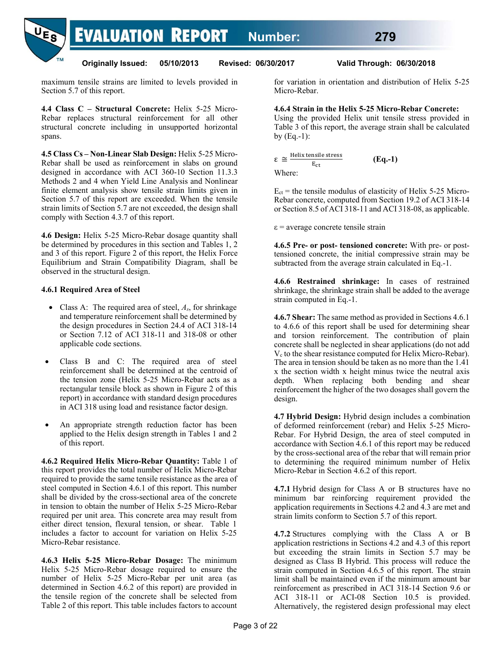**EVALUATION REPORT Number: 279**



**Originally Issued: 05/10/2013 Revised: 06/30/2017 Valid Through: 06/30/2018** 

maximum tensile strains are limited to levels provided in Section 5.7 of this report.

**4.4 Class C – Structural Concrete:** Helix 5-25 Micro-Rebar replaces structural reinforcement for all other structural concrete including in unsupported horizontal spans.

**4.5 Class Cs – Non-Linear Slab Design:** Helix 5-25 Micro-Rebar shall be used as reinforcement in slabs on ground designed in accordance with ACI 360-10 Section 11.3.3 Methods 2 and 4 when Yield Line Analysis and Nonlinear finite element analysis show tensile strain limits given in Section 5.7 of this report are exceeded. When the tensile strain limits of Section 5.7 are not exceeded, the design shall comply with Section 4.3.7 of this report.

**4.6 Design:** Helix 5-25 Micro-Rebar dosage quantity shall be determined by procedures in this section and Tables 1, 2 and 3 of this report. Figure 2 of this report, the Helix Force Equilibrium and Strain Compatibility Diagram, shall be observed in the structural design.

#### **4.6.1 Required Area of Steel**

- Class A: The required area of steel, *As*, for shrinkage and temperature reinforcement shall be determined by the design procedures in Section 24.4 of ACI 318-14 or Section 7.12 of ACI 318-11 and 318-08 or other applicable code sections.
- Class B and C: The required area of steel reinforcement shall be determined at the centroid of the tension zone (Helix 5-25 Micro-Rebar acts as a rectangular tensile block as shown in Figure 2 of this report) in accordance with standard design procedures in ACI 318 using load and resistance factor design.
- An appropriate strength reduction factor has been applied to the Helix design strength in Tables 1 and 2 of this report.

**4.6.2 Required Helix Micro-Rebar Quantity:** Table 1 of this report provides the total number of Helix Micro-Rebar required to provide the same tensile resistance as the area of steel computed in Section 4.6.1 of this report. This number shall be divided by the cross-sectional area of the concrete in tension to obtain the number of Helix 5-25 Micro-Rebar required per unit area. This concrete area may result from either direct tension, flexural tension, or shear. Table 1 includes a factor to account for variation on Helix 5-25 Micro-Rebar resistance.

**4.6.3 Helix 5-25 Micro-Rebar Dosage:** The minimum Helix 5-25 Micro-Rebar dosage required to ensure the number of Helix 5-25 Micro-Rebar per unit area (as determined in Section 4.6.2 of this report) are provided in the tensile region of the concrete shall be selected from Table 2 of this report. This table includes factors to account for variation in orientation and distribution of Helix 5-25 Micro-Rebar.

#### **4.6.4 Strain in the Helix 5-25 Micro-Rebar Concrete:**

Using the provided Helix unit tensile stress provided in Table 3 of this report, the average strain shall be calculated by  $(Eq.-1)$ :

$$
\varepsilon \cong \frac{\text{Helix tensile stress}}{E_{\text{ct}}} \tag{Eq.-1}
$$
  
Where:

 $E_{ct}$  = the tensile modulus of elasticity of Helix 5-25 Micro-Rebar concrete, computed from Section 19.2 of ACI 318-14 or Section 8.5 of ACI 318-11 and ACI 318-08, as applicable.

 $\epsilon$  = average concrete tensile strain

**4.6.5 Pre- or post- tensioned concrete:** With pre- or posttensioned concrete, the initial compressive strain may be subtracted from the average strain calculated in Eq.-1.

**4.6.6 Restrained shrinkage:** In cases of restrained shrinkage, the shrinkage strain shall be added to the average strain computed in Eq.-1.

**4.6.7 Shear:** The same method as provided in Sections 4.6.1 to 4.6.6 of this report shall be used for determining shear and torsion reinforcement. The contribution of plain concrete shall be neglected in shear applications (do not add V<sub>c</sub> to the shear resistance computed for Helix Micro-Rebar). The area in tension should be taken as no more than the 1.41 x the section width x height minus twice the neutral axis depth. When replacing both bending and shear reinforcement the higher of the two dosages shall govern the design.

**4.7 Hybrid Design:** Hybrid design includes a combination of deformed reinforcement (rebar) and Helix 5-25 Micro-Rebar. For Hybrid Design, the area of steel computed in accordance with Section 4.6.1 of this report may be reduced by the cross-sectional area of the rebar that will remain prior to determining the required minimum number of Helix Micro-Rebar in Section 4.6.2 of this report.

**4.7.1** Hybrid design for Class A or B structures have no minimum bar reinforcing requirement provided the application requirements in Sections 4.2 and 4.3 are met and strain limits conform to Section 5.7 of this report.

**4.7.2** Structures complying with the Class A or B application restrictions in Sections 4.2 and 4.3 of this report but exceeding the strain limits in Section 5.7 may be designed as Class B Hybrid. This process will reduce the strain computed in Section 4.6.5 of this report. The strain limit shall be maintained even if the minimum amount bar reinforcement as prescribed in ACI 318-14 Section 9.6 or ACI 318-11 or ACI-08 Section 10.5 is provided. Alternatively, the registered design professional may elect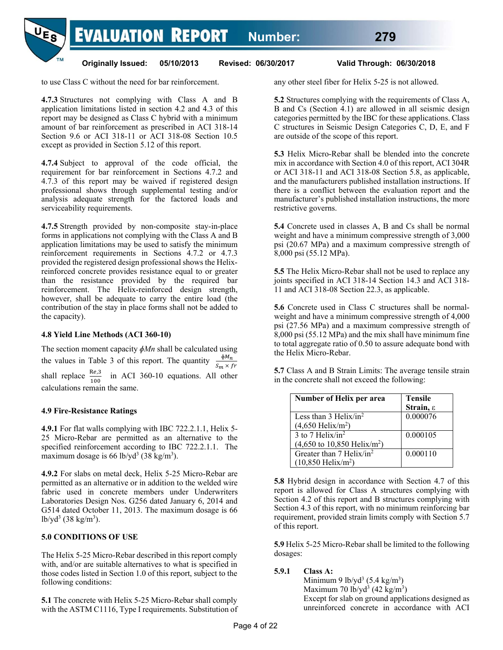**EVALUATION REPORT Number: 279**



**Originally Issued: 05/10/2013 Revised: 06/30/2017 Valid Through: 06/30/2018** 

to use Class C without the need for bar reinforcement.

**4.7.3** Structures not complying with Class A and B application limitations listed in section 4.2 and 4.3 of this report may be designed as Class C hybrid with a minimum amount of bar reinforcement as prescribed in ACI 318-14 Section 9.6 or ACI 318-11 or ACI 318-08 Section 10.5 except as provided in Section 5.12 of this report.

**4.7.4** Subject to approval of the code official, the requirement for bar reinforcement in Sections 4.7.2 and 4.7.3 of this report may be waived if registered design professional shows through supplemental testing and/or analysis adequate strength for the factored loads and serviceability requirements.

**4.7.5** Strength provided by non-composite stay-in-place forms in applications not complying with the Class A and B application limitations may be used to satisfy the minimum reinforcement requirements in Sections 4.7.2 or 4.7.3 provided the registered design professional shows the Helixreinforced concrete provides resistance equal to or greater than the resistance provided by the required bar reinforcement. The Helix-reinforced design strength, however, shall be adequate to carry the entire load (the contribution of the stay in place forms shall not be added to the capacity).

#### **4.8 Yield Line Methods (ACI 360-10)**

The section moment capacity *ɸMn* shall be calculated using the values in Table 3 of this report. The quantity  $\frac{\phi M_n}{S_m \times fr}$ shall replace  $\frac{\text{Re}3}{100}$  in ACI 360-10 equations. All other calculations remain the same.

# **4.9 Fire-Resistance Ratings**

**4.9.1** For flat walls complying with IBC 722.2.1.1, Helix 5- 25 Micro-Rebar are permitted as an alternative to the specified reinforcement according to IBC 722.2.1.1. The maximum dosage is 66 lb/yd<sup>3</sup> (38 kg/m<sup>3</sup>).

**4.9.2** For slabs on metal deck, Helix 5-25 Micro-Rebar are permitted as an alternative or in addition to the welded wire fabric used in concrete members under Underwriters Laboratories Design Nos. G256 dated January 6, 2014 and G514 dated October 11, 2013. The maximum dosage is 66  $1b\text{/}yd^3$  (38 kg/m<sup>3</sup>).

# **5.0 CONDITIONS OF USE**

The Helix 5-25 Micro-Rebar described in this report comply with, and/or are suitable alternatives to what is specified in those codes listed in Section 1.0 of this report, subject to the following conditions:

**5.1** The concrete with Helix 5-25 Micro-Rebar shall comply with the ASTM C1116, Type I requirements. Substitution of any other steel fiber for Helix 5-25 is not allowed.

**5.2** Structures complying with the requirements of Class A, B and Cs (Section 4.1) are allowed in all seismic design categories permitted by the IBC for these applications. Class C structures in Seismic Design Categories C, D, E, and F are outside of the scope of this report.

**5.3** Helix Micro-Rebar shall be blended into the concrete mix in accordance with Section 4.0 of this report, ACI 304R or ACI 318-11 and ACI 318-08 Section 5.8, as applicable, and the manufacturers published installation instructions. If there is a conflict between the evaluation report and the manufacturer's published installation instructions, the more restrictive governs.

**5.4** Concrete used in classes A, B and Cs shall be normal weight and have a minimum compressive strength of 3,000 psi (20.67 MPa) and a maximum compressive strength of 8,000 psi (55.12 MPa).

**5.5** The Helix Micro-Rebar shall not be used to replace any joints specified in ACI 318-14 Section 14.3 and ACI 318- 11 and ACI 318-08 Section 22.3, as applicable.

**5.6** Concrete used in Class C structures shall be normalweight and have a minimum compressive strength of 4,000 psi (27.56 MPa) and a maximum compressive strength of 8,000 psi (55.12 MPa) and the mix shall have minimum fine to total aggregate ratio of 0.50 to assure adequate bond with the Helix Micro-Rebar.

**5.7** Class A and B Strain Limits: The average tensile strain in the concrete shall not exceed the following:

| Number of Helix per area                               | <b>Tensile</b>        |
|--------------------------------------------------------|-----------------------|
|                                                        | Strain, $\varepsilon$ |
| Less than $3$ Helix/in <sup>2</sup>                    | 0.000076              |
| $(4,650 \text{ Helix/m}^2)$                            |                       |
| $\overline{3}$ to $\overline{7}$ Helix/in <sup>2</sup> | 0.000105              |
| $(4,650 \text{ to } 10,850 \text{ Helix/m}^2)$         |                       |
| Greater than 7 Helix/in <sup>2</sup>                   | 0.000110              |
| $(10,850 \text{ Helix/m}^2)$                           |                       |

**5.8** Hybrid design in accordance with Section 4.7 of this report is allowed for Class A structures complying with Section 4.2 of this report and B structures complying with Section 4.3 of this report, with no minimum reinforcing bar requirement, provided strain limits comply with Section 5.7 of this report.

**5.9** Helix 5-25 Micro-Rebar shall be limited to the following dosages:

**5.9.1 Class A:**

Minimum 9 lb/yd<sup>3</sup>  $(5.4 \text{ kg/m}^3)$ Maximum 70 lb/yd<sup>3</sup> (42 kg/m<sup>3</sup>) Except for slab on ground applications designed as unreinforced concrete in accordance with ACI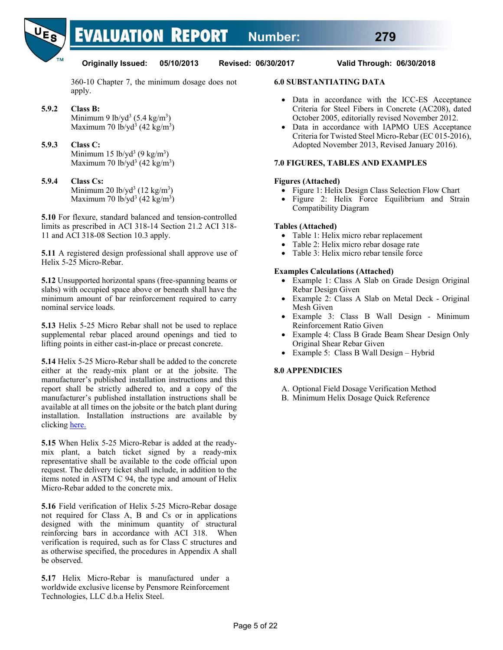

360-10 Chapter 7, the minimum dosage does not apply.

- **5.9.2 Class B:** Minimum 9 lb/yd<sup>3</sup>  $(5.4 \text{ kg/m}^3)$ Maximum 70 lb/yd<sup>3</sup> (42 kg/m<sup>3</sup>)
- **5.9.3 Class C:** Minimum  $15 \frac{\text{lb}}{\text{yd}^3}$  (9 kg/m<sup>3</sup>) Maximum 70 lb/yd<sup>3</sup> (42 kg/m<sup>3</sup>)
- **5.9.4 Class Cs:** Minimum 20  $\frac{1}{2}$  (12 kg/m<sup>3</sup>) Maximum 70 lb/yd<sup>3</sup> (42 kg/m<sup>3</sup>)

**5.10** For flexure, standard balanced and tension-controlled limits as prescribed in ACI 318-14 Section 21.2 ACI 318- 11 and ACI 318-08 Section 10.3 apply.

**5.11** A registered design professional shall approve use of Helix 5-25 Micro-Rebar.

**5.12** Unsupported horizontal spans (free-spanning beams or slabs) with occupied space above or beneath shall have the minimum amount of bar reinforcement required to carry nominal service loads.

**5.13** Helix 5-25 Micro Rebar shall not be used to replace supplemental rebar placed around openings and tied to lifting points in either cast-in-place or precast concrete.

**5.14** Helix 5-25 Micro-Rebar shall be added to the concrete either at the ready-mix plant or at the jobsite. The manufacturer's published installation instructions and this report shall be strictly adhered to, and a copy of the manufacturer's published installation instructions shall be available at all times on the jobsite or the batch plant during installation. Installation instructions are available by clicking here.

**5.15** When Helix 5-25 Micro-Rebar is added at the readymix plant, a batch ticket signed by a ready-mix representative shall be available to the code official upon request. The delivery ticket shall include, in addition to the items noted in ASTM C 94, the type and amount of Helix Micro-Rebar added to the concrete mix.

**5.16** Field verification of Helix 5-25 Micro-Rebar dosage not required for Class A, B and Cs or in applications designed with the minimum quantity of structural reinforcing bars in accordance with ACI 318. When verification is required, such as for Class C structures and as otherwise specified, the procedures in Appendix A shall be observed.

**5.17** Helix Micro-Rebar is manufactured under a worldwide exclusive license by Pensmore Reinforcement Technologies, LLC d.b.a Helix Steel.

#### **6.0 SUBSTANTIATING DATA**

- Data in accordance with the ICC-ES Acceptance Criteria for Steel Fibers in Concrete (AC208), dated October 2005, editorially revised November 2012.
- Data in accordance with IAPMO UES Acceptance Criteria for Twisted Steel Micro-Rebar (EC 015-2016), Adopted November 2013, Revised January 2016).

#### **7.0 FIGURES, TABLES AND EXAMPLES**

#### **Figures (Attached)**

- Figure 1: Helix Design Class Selection Flow Chart
- Figure 2: Helix Force Equilibrium and Strain Compatibility Diagram

#### **Tables (Attached)**

- Table 1: Helix micro rebar replacement
- Table 2: Helix micro rebar dosage rate
- Table 3: Helix micro rebar tensile force

#### **Examples Calculations (Attached)**

- Example 1: Class A Slab on Grade Design Original Rebar Design Given
- Example 2: Class A Slab on Metal Deck Original Mesh Given
- Example 3: Class B Wall Design Minimum Reinforcement Ratio Given
- Example 4: Class B Grade Beam Shear Design Only Original Shear Rebar Given
- Example 5: Class B Wall Design Hybrid

#### **8.0 APPENDICIES**

- A. Optional Field Dosage Verification Method
- B. Minimum Helix Dosage Quick Reference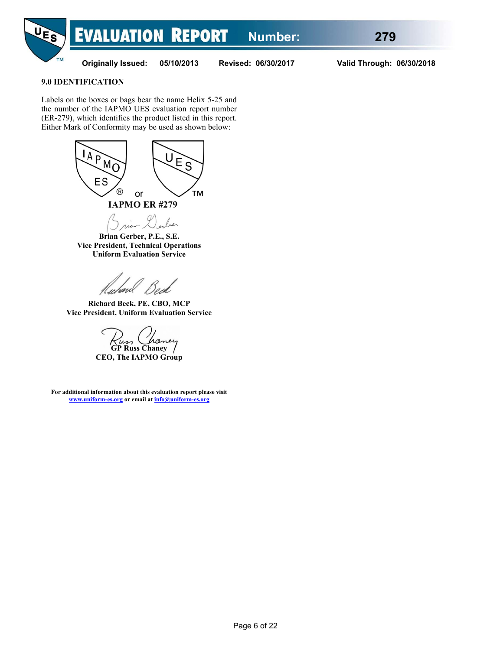

#### **9.0 IDENTIFICATION**

Labels on the boxes or bags bear the name Helix 5-25 and the number of the IAPMO UES evaluation report number (ER-279), which identifies the product listed in this report. Either Mark of Conformity may be used as shown below:



ber

**Brian Gerber, P.E., S.E. Vice President, Technical Operations Uniform Evaluation Service** 

fichavel

**Richard Beck, PE, CBO, MCP Vice President, Uniform Evaluation Service** 

**GP Russ Chaney CEO, The IAPMO Group** 

**For additional information about this evaluation report please visit www.uniform-es.org or email at info@uniform-es.org**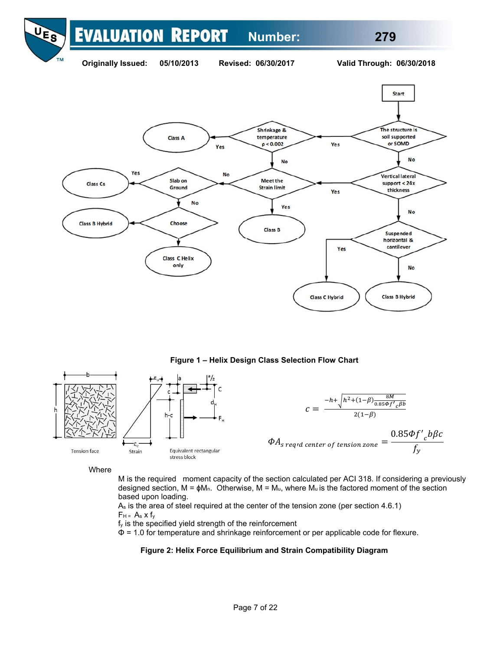#### **EVALUATION REPORT Number: 279**



**Figure 1 – Helix Design Class Selection Flow Chart** 



Where

M is the required moment capacity of the section calculated per ACI 318. If considering a previously designed section,  $M = \phi M_n$ . Otherwise,  $M = M_u$ , where  $M_u$  is the factored moment of the section based upon loading.

 $A<sub>s</sub>$  is the area of steel required at the center of the tension zone (per section 4.6.1)  $F_H = A_s \times f_v$ 

fy is the specified yield strength of the reinforcement

Φ = 1.0 for temperature and shrinkage reinforcement or per applicable code for flexure.

#### **Figure 2: Helix Force Equilibrium and Strain Compatibility Diagram**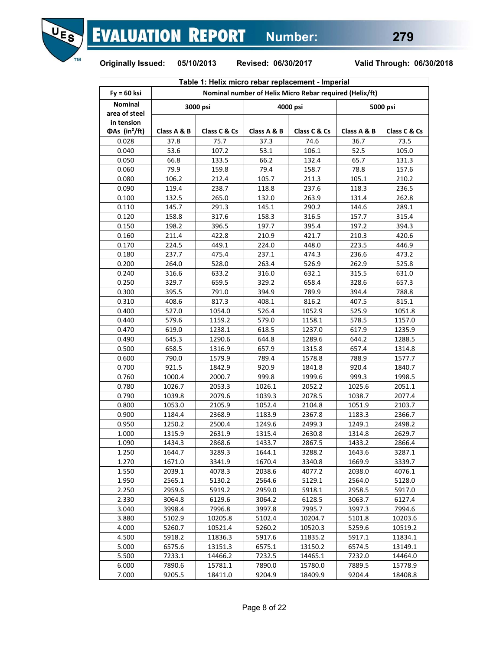

| Table 1: Helix micro rebar replacement - Imperial |                                                         |              |             |              |             |              |  |  |  |  |
|---------------------------------------------------|---------------------------------------------------------|--------------|-------------|--------------|-------------|--------------|--|--|--|--|
| $Fy = 60$ ksi                                     | Nominal number of Helix Micro Rebar required (Helix/ft) |              |             |              |             |              |  |  |  |  |
| <b>Nominal</b><br>area of steel                   |                                                         | 3000 psi     |             | 4000 psi     |             | 5000 psi     |  |  |  |  |
| in tension<br>$\Phi$ As (in <sup>2</sup> /ft)     | Class A & B                                             | Class C & Cs | Class A & B | Class C & Cs | Class A & B | Class C & Cs |  |  |  |  |
| 0.028                                             | 37.8                                                    | 75.7         | 37.3        | 74.6         | 36.7        | 73.5         |  |  |  |  |
| 0.040                                             | 53.6                                                    | 107.2        | 53.1        | 106.1        | 52.5        | 105.0        |  |  |  |  |
| 0.050                                             | 66.8                                                    | 133.5        | 66.2        | 132.4        | 65.7        | 131.3        |  |  |  |  |
| 0.060                                             | 79.9                                                    | 159.8        | 79.4        | 158.7        | 78.8        | 157.6        |  |  |  |  |
| 0.080                                             | 106.2                                                   | 212.4        | 105.7       | 211.3        | 105.1       | 210.2        |  |  |  |  |
| 0.090                                             | 119.4                                                   | 238.7        | 118.8       | 237.6        | 118.3       | 236.5        |  |  |  |  |
| 0.100                                             | 132.5                                                   | 265.0        | 132.0       | 263.9        | 131.4       | 262.8        |  |  |  |  |
| 0.110                                             | 145.7                                                   | 291.3        | 145.1       | 290.2        | 144.6       | 289.1        |  |  |  |  |
| 0.120                                             | 158.8                                                   | 317.6        | 158.3       | 316.5        | 157.7       | 315.4        |  |  |  |  |
| 0.150                                             | 198.2                                                   | 396.5        | 197.7       | 395.4        | 197.2       | 394.3        |  |  |  |  |
| 0.160                                             | 211.4                                                   | 422.8        | 210.9       | 421.7        | 210.3       | 420.6        |  |  |  |  |
| 0.170                                             | 224.5                                                   | 449.1        | 224.0       | 448.0        | 223.5       | 446.9        |  |  |  |  |
| 0.180                                             | 237.7                                                   | 475.4        | 237.1       | 474.3        | 236.6       | 473.2        |  |  |  |  |
| 0.200                                             | 264.0                                                   | 528.0        | 263.4       | 526.9        | 262.9       | 525.8        |  |  |  |  |
| 0.240                                             | 316.6                                                   | 633.2        | 316.0       | 632.1        | 315.5       | 631.0        |  |  |  |  |
| 0.250                                             | 329.7                                                   | 659.5        | 329.2       | 658.4        | 328.6       | 657.3        |  |  |  |  |
| 0.300                                             | 395.5                                                   | 791.0        | 394.9       | 789.9        | 394.4       | 788.8        |  |  |  |  |
| 0.310                                             | 408.6                                                   | 817.3        | 408.1       | 816.2        | 407.5       | 815.1        |  |  |  |  |
| 0.400                                             | 527.0                                                   | 1054.0       | 526.4       | 1052.9       | 525.9       | 1051.8       |  |  |  |  |
| 0.440                                             | 579.6                                                   | 1159.2       | 579.0       | 1158.1       | 578.5       | 1157.0       |  |  |  |  |
| 0.470                                             | 619.0                                                   | 1238.1       | 618.5       | 1237.0       | 617.9       | 1235.9       |  |  |  |  |
| 0.490                                             | 645.3                                                   | 1290.6       | 644.8       | 1289.6       | 644.2       | 1288.5       |  |  |  |  |
| 0.500                                             | 658.5                                                   | 1316.9       | 657.9       | 1315.8       | 657.4       | 1314.8       |  |  |  |  |
| 0.600                                             | 790.0                                                   | 1579.9       | 789.4       | 1578.8       | 788.9       | 1577.7       |  |  |  |  |
| 0.700                                             | 921.5                                                   | 1842.9       | 920.9       | 1841.8       | 920.4       | 1840.7       |  |  |  |  |
| 0.760                                             | 1000.4                                                  | 2000.7       | 999.8       | 1999.6       | 999.3       | 1998.5       |  |  |  |  |
| 0.780                                             | 1026.7                                                  | 2053.3       | 1026.1      | 2052.2       | 1025.6      | 2051.1       |  |  |  |  |
| 0.790                                             | 1039.8                                                  | 2079.6       | 1039.3      | 2078.5       | 1038.7      | 2077.4       |  |  |  |  |
| 0.800                                             | 1053.0                                                  | 2105.9       | 1052.4      | 2104.8       | 1051.9      | 2103.7       |  |  |  |  |
| 0.900                                             | 1184.4                                                  | 2368.9       | 1183.9      | 2367.8       | 1183.3      | 2366.7       |  |  |  |  |
| 0.950                                             | 1250.2                                                  | 2500.4       | 1249.6      | 2499.3       | 1249.1      | 2498.2       |  |  |  |  |
| 1.000                                             | 1315.9                                                  | 2631.9       | 1315.4      | 2630.8       | 1314.8      | 2629.7       |  |  |  |  |
| 1.090                                             | 1434.3                                                  | 2868.6       | 1433.7      | 2867.5       | 1433.2      | 2866.4       |  |  |  |  |
| 1.250                                             | 1644.7                                                  | 3289.3       | 1644.1      | 3288.2       | 1643.6      | 3287.1       |  |  |  |  |
| 1.270                                             | 1671.0                                                  | 3341.9       | 1670.4      | 3340.8       | 1669.9      | 3339.7       |  |  |  |  |
| 1.550                                             | 2039.1                                                  | 4078.3       | 2038.6      | 4077.2       | 2038.0      | 4076.1       |  |  |  |  |
| 1.950                                             | 2565.1                                                  | 5130.2       | 2564.6      | 5129.1       | 2564.0      | 5128.0       |  |  |  |  |
| 2.250                                             | 2959.6                                                  | 5919.2       | 2959.0      | 5918.1       | 2958.5      | 5917.0       |  |  |  |  |
| 2.330                                             | 3064.8                                                  | 6129.6       | 3064.2      | 6128.5       | 3063.7      | 6127.4       |  |  |  |  |
| 3.040                                             | 3998.4                                                  | 7996.8       | 3997.8      | 7995.7       | 3997.3      | 7994.6       |  |  |  |  |
| 3.880                                             | 5102.9                                                  |              | 5102.4      |              |             | 10203.6      |  |  |  |  |
|                                                   |                                                         | 10205.8      |             | 10204.7      | 5101.8      |              |  |  |  |  |
| 4.000                                             | 5260.7                                                  | 10521.4      | 5260.2      | 10520.3      | 5259.6      | 10519.2      |  |  |  |  |
| 4.500                                             | 5918.2                                                  | 11836.3      | 5917.6      | 11835.2      | 5917.1      | 11834.1      |  |  |  |  |
| 5.000                                             | 6575.6                                                  | 13151.3      | 6575.1      | 13150.2      | 6574.5      | 13149.1      |  |  |  |  |
| 5.500                                             | 7233.1                                                  | 14466.2      | 7232.5      | 14465.1      | 7232.0      | 14464.0      |  |  |  |  |
| 6.000                                             | 7890.6                                                  | 15781.1      | 7890.0      | 15780.0      | 7889.5      | 15778.9      |  |  |  |  |
| 7.000                                             | 9205.5                                                  | 18411.0      | 9204.9      | 18409.9      | 9204.4      | 18408.8      |  |  |  |  |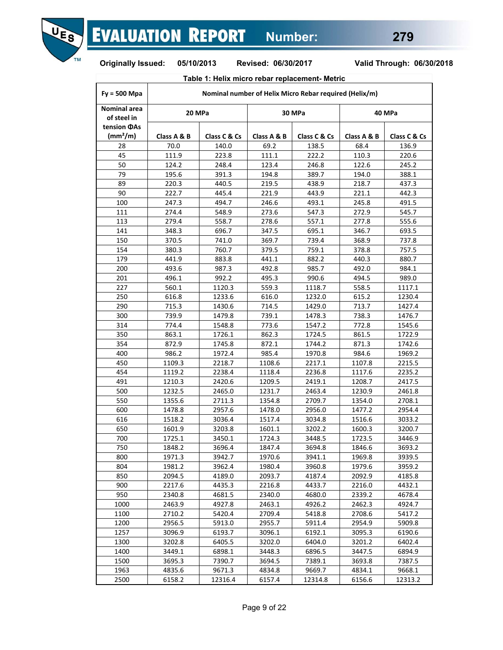

# **Table 1: Helix micro rebar replacement- Metric**

| $Fy = 500$ Mpa                                 | Nominal number of Helix Micro Rebar required (Helix/m) |              |             |              |             |              |  |  |  |  |  |
|------------------------------------------------|--------------------------------------------------------|--------------|-------------|--------------|-------------|--------------|--|--|--|--|--|
| <b>Nominal area</b><br>of steel in             | 20 MPa                                                 |              |             | 30 MPa       |             | 40 MPa       |  |  |  |  |  |
| tension <b>OAs</b><br>$\text{(mm}^2/\text{m})$ | Class A & B                                            | Class C & Cs | Class A & B | Class C & Cs | Class A & B | Class C & Cs |  |  |  |  |  |
| 28                                             | 70.0                                                   | 140.0        | 69.2        | 138.5        | 68.4        | 136.9        |  |  |  |  |  |
| 45                                             | 111.9                                                  | 223.8        | 111.1       | 222.2        | 110.3       | 220.6        |  |  |  |  |  |
| 50                                             | 124.2                                                  | 248.4        | 123.4       | 246.8        | 122.6       | 245.2        |  |  |  |  |  |
| 79                                             | 195.6                                                  | 391.3        | 194.8       | 389.7        | 194.0       | 388.1        |  |  |  |  |  |
| 89                                             | 220.3                                                  | 440.5        | 219.5       | 438.9        | 218.7       | 437.3        |  |  |  |  |  |
| 90                                             | 222.7                                                  | 445.4        | 221.9       | 443.9        | 221.1       | 442.3        |  |  |  |  |  |
| 100                                            | 247.3                                                  | 494.7        | 246.6       | 493.1        | 245.8       | 491.5        |  |  |  |  |  |
| 111                                            | 274.4                                                  | 548.9        | 273.6       | 547.3        | 272.9       | 545.7        |  |  |  |  |  |
| 113                                            | 279.4                                                  | 558.7        | 278.6       | 557.1        | 277.8       | 555.6        |  |  |  |  |  |
| 141                                            | 348.3                                                  | 696.7        | 347.5       | 695.1        | 346.7       | 693.5        |  |  |  |  |  |
| 150                                            | 370.5                                                  | 741.0        | 369.7       | 739.4        | 368.9       | 737.8        |  |  |  |  |  |
| 154                                            | 380.3                                                  | 760.7        | 379.5       | 759.1        | 378.8       | 757.5        |  |  |  |  |  |
| 179                                            | 441.9                                                  | 883.8        | 441.1       | 882.2        | 440.3       | 880.7        |  |  |  |  |  |
| 200                                            | 493.6                                                  | 987.3        | 492.8       | 985.7        | 492.0       | 984.1        |  |  |  |  |  |
| 201                                            | 496.1                                                  | 992.2        | 495.3       | 990.6        | 494.5       | 989.0        |  |  |  |  |  |
| 227                                            | 560.1                                                  | 1120.3       | 559.3       | 1118.7       | 558.5       | 1117.1       |  |  |  |  |  |
| 250                                            | 616.8                                                  | 1233.6       | 616.0       | 1232.0       | 615.2       | 1230.4       |  |  |  |  |  |
| 290                                            | 715.3                                                  | 1430.6       | 714.5       | 1429.0       | 713.7       | 1427.4       |  |  |  |  |  |
| 300                                            | 739.9                                                  | 1479.8       | 739.1       | 1478.3       | 738.3       | 1476.7       |  |  |  |  |  |
| 314                                            | 774.4                                                  | 1548.8       | 773.6       | 1547.2       | 772.8       | 1545.6       |  |  |  |  |  |
| 350                                            | 863.1                                                  | 1726.1       | 862.3       | 1724.5       | 861.5       | 1722.9       |  |  |  |  |  |
| 354                                            | 872.9                                                  | 1745.8       | 872.1       | 1744.2       | 871.3       | 1742.6       |  |  |  |  |  |
| 400                                            | 986.2                                                  | 1972.4       | 985.4       | 1970.8       | 984.6       | 1969.2       |  |  |  |  |  |
| 450                                            | 1109.3                                                 | 2218.7       | 1108.6      | 2217.1       | 1107.8      | 2215.5       |  |  |  |  |  |
| 454                                            | 1119.2                                                 | 2238.4       | 1118.4      | 2236.8       | 1117.6      | 2235.2       |  |  |  |  |  |
| 491                                            | 1210.3                                                 | 2420.6       | 1209.5      | 2419.1       | 1208.7      | 2417.5       |  |  |  |  |  |
| 500                                            | 1232.5                                                 | 2465.0       | 1231.7      | 2463.4       | 1230.9      | 2461.8       |  |  |  |  |  |
| 550                                            | 1355.6                                                 | 2711.3       | 1354.8      | 2709.7       | 1354.0      | 2708.1       |  |  |  |  |  |
| 600                                            | 1478.8                                                 | 2957.6       | 1478.0      | 2956.0       | 1477.2      | 2954.4       |  |  |  |  |  |
| 616                                            | 1518.2                                                 | 3036.4       | 1517.4      | 3034.8       | 1516.6      | 3033.2       |  |  |  |  |  |
| 650                                            | 1601.9                                                 | 3203.8       | 1601.1      | 3202.2       | 1600.3      | 3200.7       |  |  |  |  |  |
| 700                                            | 1725.1                                                 | 3450.1       | 1724.3      | 3448.5       | 1723.5      | 3446.9       |  |  |  |  |  |
| 750                                            | 1848.2                                                 | 3696.4       | 1847.4      | 3694.8       | 1846.6      | 3693.2       |  |  |  |  |  |
| 800                                            | 1971.3                                                 | 3942.7       | 1970.6      | 3941.1       | 1969.8      | 3939.5       |  |  |  |  |  |
| 804                                            | 1981.2                                                 | 3962.4       | 1980.4      | 3960.8       | 1979.6      | 3959.2       |  |  |  |  |  |
| 850                                            | 2094.5                                                 | 4189.0       | 2093.7      | 4187.4       | 2092.9      | 4185.8       |  |  |  |  |  |
| 900                                            | 2217.6                                                 | 4435.3       | 2216.8      | 4433.7       | 2216.0      | 4432.1       |  |  |  |  |  |
| 950                                            | 2340.8                                                 | 4681.5       | 2340.0      | 4680.0       | 2339.2      | 4678.4       |  |  |  |  |  |
| 1000                                           | 2463.9                                                 | 4927.8       | 2463.1      | 4926.2       | 2462.3      | 4924.7       |  |  |  |  |  |
| 1100                                           | 2710.2                                                 | 5420.4       | 2709.4      | 5418.8       | 2708.6      | 5417.2       |  |  |  |  |  |
| 1200                                           | 2956.5                                                 | 5913.0       | 2955.7      | 5911.4       | 2954.9      | 5909.8       |  |  |  |  |  |
| 1257                                           | 3096.9                                                 | 6193.7       | 3096.1      | 6192.1       | 3095.3      | 6190.6       |  |  |  |  |  |
| 1300                                           | 3202.8                                                 | 6405.5       | 3202.0      | 6404.0       | 3201.2      | 6402.4       |  |  |  |  |  |
| 1400                                           | 3449.1                                                 | 6898.1       | 3448.3      | 6896.5       | 3447.5      | 6894.9       |  |  |  |  |  |
| 1500                                           | 3695.3                                                 | 7390.7       | 3694.5      | 7389.1       | 3693.8      | 7387.5       |  |  |  |  |  |
| 1963                                           | 4835.6                                                 | 9671.3       | 4834.8      | 9669.7       | 4834.1      | 9668.1       |  |  |  |  |  |
| 2500                                           | 6158.2                                                 | 12316.4      | 6157.4      | 12314.8      | 6156.6      | 12313.2      |  |  |  |  |  |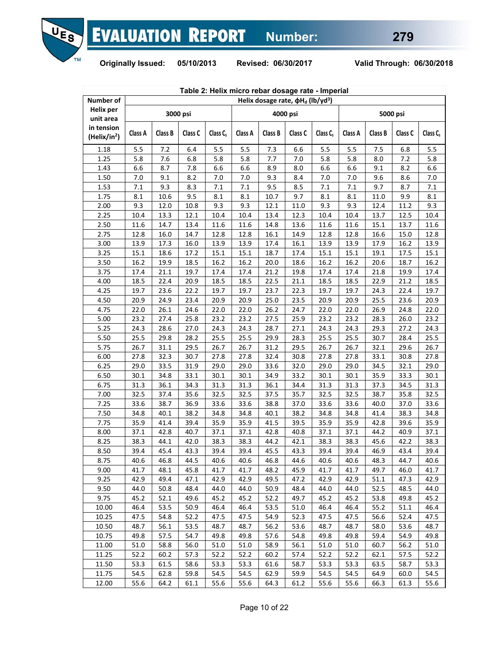

|                                        | Table 2: Helix micro rebar dosage rate - Imperial |         |          |                      |         |         |                                                     |                      |         |         |          |             |
|----------------------------------------|---------------------------------------------------|---------|----------|----------------------|---------|---------|-----------------------------------------------------|----------------------|---------|---------|----------|-------------|
| Number of                              |                                                   |         |          |                      |         |         | Helix dosage rate, $\phi H_d$ (lb/yd <sup>3</sup> ) |                      |         |         |          |             |
| <b>Helix per</b><br>unit area          |                                                   |         | 3000 psi |                      |         |         | 4000 psi                                            |                      |         |         | 5000 psi |             |
| in tension<br>(Helix/in <sup>2</sup> ) | Class A                                           | Class B | Class C  | Class C <sub>s</sub> | Class A | Class B | Class C                                             | Class C <sub>s</sub> | Class A | Class B | Class C  | Class $C_s$ |
| 1.18                                   | 5.5                                               | 7.2     | 6.4      | 5.5                  | 5.5     | 7.3     | 6.6                                                 | 5.5                  | 5.5     | 7.5     | 6.8      | 5.5         |
| 1.25                                   | 5.8                                               | 7.6     | 6.8      | 5.8                  | 5.8     | 7.7     | 7.0                                                 | 5.8                  | 5.8     | 8.0     | 7.2      | 5.8         |
| 1.43                                   | 6.6                                               | 8.7     | 7.8      | 6.6                  | 6.6     | 8.9     | 8.0                                                 | 6.6                  | 6.6     | 9.1     | 8.2      | 6.6         |
| 1.50                                   | 7.0                                               | 9.1     | 8.2      | 7.0                  | 7.0     | 9.3     | 8.4                                                 | 7.0                  | 7.0     | 9.6     | 8.6      | 7.0         |
| 1.53                                   | 7.1                                               | 9.3     | 8.3      | 7.1                  | 7.1     | 9.5     | 8.5                                                 | 7.1                  | 7.1     | 9.7     | 8.7      | 7.1         |
| 1.75                                   | 8.1                                               | 10.6    | 9.5      | 8.1                  | 8.1     | 10.7    | 9.7                                                 | 8.1                  | 8.1     | 11.0    | 9.9      | 8.1         |
| 2.00                                   | 9.3                                               | 12.0    | 10.8     | 9.3                  | 9.3     | 12.1    | 11.0                                                | 9.3                  | 9.3     | 12.4    | 11.2     | 9.3         |
| 2.25                                   | 10.4                                              | 13.3    | 12.1     | 10.4                 | 10.4    | 13.4    | 12.3                                                | 10.4                 | 10.4    | 13.7    | 12.5     | 10.4        |
| 2.50                                   | 11.6                                              | 14.7    | 13.4     | 11.6                 | 11.6    | 14.8    | 13.6                                                | 11.6                 | 11.6    | 15.1    | 13.7     | 11.6        |
| 2.75                                   | 12.8                                              | 16.0    | 14.7     | 12.8                 | 12.8    | 16.1    | 14.9                                                | 12.8                 | 12.8    | 16.6    | 15.0     | 12.8        |
| 3.00                                   | 13.9                                              | 17.3    | 16.0     | 13.9                 | 13.9    | 17.4    | 16.1                                                | 13.9                 | 13.9    | 17.9    | 16.2     | 13.9        |
| 3.25                                   | 15.1                                              | 18.6    | 17.2     | 15.1                 | 15.1    | 18.7    | 17.4                                                | 15.1                 | 15.1    | 19.1    | 17.5     | 15.1        |
| 3.50                                   | 16.2                                              | 19.9    | 18.5     | 16.2                 | 16.2    | 20.0    | 18.6                                                | 16.2                 | 16.2    | 20.6    | 18.7     | 16.2        |
| 3.75                                   | 17.4                                              | 21.1    | 19.7     | 17.4                 | 17.4    | 21.2    | 19.8                                                | 17.4                 | 17.4    | 21.8    | 19.9     | 17.4        |
| 4.00                                   | 18.5                                              | 22.4    | 20.9     | 18.5                 | 18.5    | 22.5    | 21.1                                                | 18.5                 | 18.5    | 22.9    | 21.2     | 18.5        |
| 4.25                                   | 19.7                                              | 23.6    | 22.2     | 19.7                 | 19.7    | 23.7    | 22.3                                                | 19.7                 | 19.7    | 24.3    | 22.4     | 19.7        |
| 4.50                                   | 20.9                                              | 24.9    | 23.4     | 20.9                 | 20.9    | 25.0    | 23.5                                                | 20.9                 | 20.9    | 25.5    | 23.6     | 20.9        |
| 4.75                                   | 22.0                                              | 26.1    | 24.6     | 22.0                 | 22.0    | 26.2    | 24.7                                                | 22.0                 | 22.0    | 26.9    | 24.8     | 22.0        |
| 5.00                                   | 23.2                                              | 27.4    | 25.8     | 23.2                 | 23.2    | 27.5    | 25.9                                                | 23.2                 | 23.2    | 28.3    | 26.0     | 23.2        |
| 5.25                                   | 24.3                                              | 28.6    | 27.0     | 24.3                 | 24.3    | 28.7    | 27.1                                                | 24.3                 | 24.3    | 29.3    | 27.2     | 24.3        |
| 5.50                                   | 25.5                                              | 29.8    | 28.2     | 25.5                 | 25.5    | 29.9    | 28.3                                                | 25.5                 | 25.5    | 30.7    | 28.4     | 25.5        |
| 5.75                                   | 26.7                                              | 31.1    | 29.5     | 26.7                 | 26.7    | 31.2    | 29.5                                                | 26.7                 | 26.7    | 32.1    | 29.6     | 26.7        |
| 6.00                                   | 27.8                                              | 32.3    | 30.7     | 27.8                 | 27.8    | 32.4    | 30.8                                                | 27.8                 | 27.8    | 33.1    | 30.8     | 27.8        |
| 6.25                                   | 29.0                                              | 33.5    | 31.9     | 29.0                 | 29.0    | 33.6    | 32.0                                                | 29.0                 | 29.0    | 34.5    | 32.1     | 29.0        |
| 6.50                                   | 30.1                                              | 34.8    | 33.1     | 30.1                 | 30.1    | 34.9    | 33.2                                                | 30.1                 | 30.1    | 35.9    | 33.3     | 30.1        |
| 6.75                                   | 31.3                                              | 36.1    | 34.3     | 31.3                 | 31.3    | 36.1    | 34.4                                                | 31.3                 | 31.3    | 37.3    | 34.5     | 31.3        |
| 7.00                                   | 32.5                                              | 37.4    | 35.6     | 32.5                 | 32.5    | 37.5    | 35.7                                                | 32.5                 | 32.5    | 38.7    | 35.8     | 32.5        |
| 7.25                                   | 33.6                                              | 38.7    | 36.9     | 33.6                 | 33.6    | 38.8    | 37.0                                                | 33.6                 | 33.6    | 40.0    | 37.0     | 33.6        |
| 7.50                                   | 34.8                                              | 40.1    | 38.2     | 34.8                 | 34.8    | 40.1    | 38.2                                                | 34.8                 | 34.8    | 41.4    | 38.3     | 34.8        |
| 7.75                                   | 35.9                                              | 41.4    | 39.4     | 35.9                 | 35.9    | 41.5    | 39.5                                                | 35.9                 | 35.9    | 42.8    | 39.6     | 35.9        |
| 8.00                                   | 37.1                                              | 42.8    | 40.7     | 37.1                 | 37.1    | 42.8    | 40.8                                                | 37.1                 | 37.1    | 44.2    | 40.9     | 37.1        |
| 8.25                                   | 38.3                                              | 44.1    | 42.0     | 38.3                 | 38.3    | 44.2    | 42.1                                                | 38.3                 | 38.3    | 45.6    | 42.2     | 38.3        |
| 8.50                                   | 39.4                                              | 45.4    | 43.3     | 39.4                 | 39.4    | 45.5    | 43.3                                                | 39.4                 | 39.4    | 46.9    | 43.4     | 39.4        |
| 8.75                                   | 40.6                                              | 46.8    | 44.5     | 40.6                 | 40.6    | 46.8    | 44.6                                                | 40.6                 | 40.6    | 48.3    | 44.7     | 40.6        |
| 9.00                                   | 41.7                                              | 48.1    | 45.8     | 41.7                 | 41.7    | 48.2    | 45.9                                                | 41.7                 | 41.7    | 49.7    | 46.0     | 41.7        |
| 9.25                                   | 42.9                                              | 49.4    | 47.1     | 42.9                 | 42.9    | 49.5    | 47.2                                                | 42.9                 | 42.9    | 51.1    | 47.3     | 42.9        |
| 9.50                                   | 44.0                                              | 50.8    | 48.4     | 44.0                 | 44.0    | 50.9    | 48.4                                                | 44.0                 | 44.0    | 52.5    | 48.5     | 44.0        |
| 9.75                                   | 45.2                                              | 52.1    | 49.6     | 45.2                 | 45.2    | 52.2    | 49.7                                                | 45.2                 | 45.2    | 53.8    | 49.8     | 45.2        |
| 10.00                                  | 46.4                                              | 53.5    | 50.9     | 46.4                 | 46.4    | 53.5    | 51.0                                                | 46.4                 | 46.4    | 55.2    | 51.1     | 46.4        |
| 10.25                                  | 47.5                                              | 54.8    | 52.2     | 47.5                 | 47.5    | 54.9    | 52.3                                                | 47.5                 | 47.5    | 56.6    | 52.4     | 47.5        |
| 10.50                                  | 48.7                                              | 56.1    | 53.5     | 48.7                 | 48.7    | 56.2    | 53.6                                                | 48.7                 | 48.7    | 58.0    | 53.6     | 48.7        |
| 10.75                                  | 49.8                                              | 57.5    | 54.7     | 49.8                 | 49.8    | 57.6    | 54.8                                                | 49.8                 | 49.8    | 59.4    | 54.9     | 49.8        |
| 11.00                                  | 51.0                                              | 58.8    | 56.0     | 51.0                 | 51.0    | 58.9    | 56.1                                                | 51.0                 | 51.0    | 60.7    | 56.2     | 51.0        |
| 11.25                                  | 52.2                                              | 60.2    | 57.3     | 52.2                 | 52.2    | 60.2    | 57.4                                                | 52.2                 | 52.2    | 62.1    | 57.5     | 52.2        |
| 11.50                                  | 53.3                                              | 61.5    | 58.6     | 53.3                 | 53.3    | 61.6    | 58.7                                                | 53.3                 | 53.3    | 63.5    | 58.7     | 53.3        |
| 11.75                                  | 54.5                                              | 62.8    | 59.8     | 54.5                 | 54.5    | 62.9    | 59.9                                                | 54.5                 | 54.5    | 64.9    | 60.0     | 54.5        |
| 12.00                                  | 55.6                                              | 64.2    | 61.1     | 55.6                 | 55.6    | 64.3    | 61.2                                                | 55.6                 | 55.6    | 66.3    | 61.3     | 55.6        |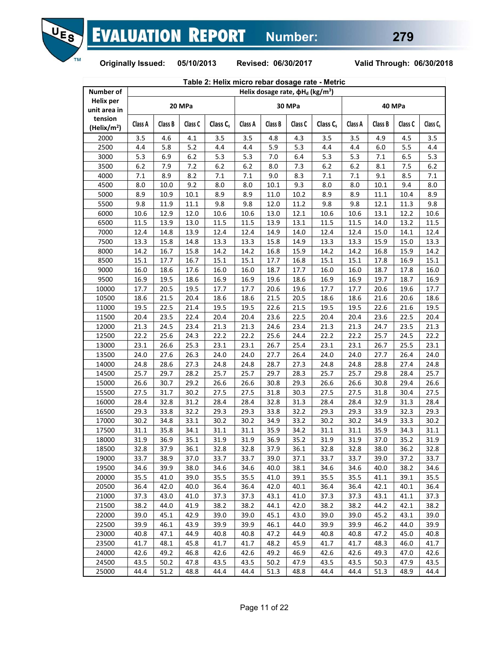

|                                    | Table 2: Helix micro rebar dosage rate - Metric |              |              |              |              |              |                                                    |                      |              |              |              |              |
|------------------------------------|-------------------------------------------------|--------------|--------------|--------------|--------------|--------------|----------------------------------------------------|----------------------|--------------|--------------|--------------|--------------|
| Number of                          |                                                 |              |              |              |              |              | Helix dosage rate, $\phi H_d$ (kg/m <sup>3</sup> ) |                      |              |              |              |              |
| <b>Helix per</b><br>unit area in   |                                                 |              | 20 MPa       |              |              |              | 30 MPa                                             |                      |              |              | 40 MPa       |              |
| tension<br>(Helix/m <sup>2</sup> ) | Class A                                         | Class B      | Class C      | Class $C_s$  | Class A      | Class B      | Class C                                            | Class C <sub>s</sub> | Class A      | Class B      | Class C      | Class C.     |
| 2000                               | 3.5                                             | 4.6          | 4.1          | 3.5          | 3.5          | 4.8          | 4.3                                                | 3.5                  | 3.5          | 4.9          | 4.5          | 3.5          |
| 2500                               | 4.4                                             | 5.8          | 5.2          | 4.4          | 4.4          | 5.9          | 5.3                                                | 4.4                  | 4.4          | 6.0          | 5.5          | 4.4          |
| 3000                               | 5.3                                             | 6.9          | 6.2          | 5.3          | 5.3          | 7.0          | 6.4                                                | 5.3                  | 5.3          | 7.1          | 6.5          | 5.3          |
| 3500                               | 6.2                                             | 7.9          | 7.2          | 6.2          | 6.2          | 8.0          | 7.3                                                | 6.2                  | 6.2          | 8.1          | 7.5          | 6.2          |
| 4000                               | 7.1                                             | 8.9          | 8.2          | 7.1          | 7.1          | 9.0          | 8.3                                                | 7.1                  | 7.1          | 9.1          | 8.5          | 7.1          |
| 4500                               | 8.0                                             | 10.0         | 9.2          | 8.0          | 8.0          | 10.1         | 9.3                                                | 8.0                  | 8.0          | 10.1         | 9.4          | 8.0          |
| 5000                               | 8.9                                             | 10.9         | 10.1         | 8.9          | 8.9          | 11.0         | 10.2                                               | 8.9                  | 8.9          | 11.1         | 10.4         | 8.9          |
| 5500                               | 9.8                                             | 11.9         | 11.1         | 9.8          | 9.8          | 12.0         | 11.2                                               | 9.8                  | 9.8          | 12.1         | 11.3         | 9.8          |
| 6000                               | 10.6                                            | 12.9         | 12.0         | 10.6         | 10.6         | 13.0         | 12.1                                               | 10.6                 | 10.6         | 13.1         | 12.2         | 10.6         |
| 6500                               | 11.5                                            | 13.9         | 13.0         | 11.5         | 11.5         | 13.9         | 13.1                                               | 11.5                 | 11.5         | 14.0         | 13.2         | 11.5         |
| 7000                               | 12.4                                            | 14.8         | 13.9         | 12.4         | 12.4         | 14.9         | 14.0                                               | 12.4                 | 12.4         | 15.0         | 14.1         | 12.4         |
| 7500                               | 13.3                                            | 15.8         | 14.8         | 13.3         | 13.3         | 15.8         | 14.9                                               | 13.3                 | 13.3         | 15.9         | 15.0         | 13.3         |
| 8000                               | 14.2                                            | 16.7         | 15.8         | 14.2         | 14.2         | 16.8         | 15.9                                               | 14.2                 | 14.2         | 16.8         | 15.9         | 14.2         |
| 8500                               | 15.1                                            | 17.7         | 16.7         | 15.1         | 15.1         | 17.7         | 16.8                                               | 15.1                 | 15.1         | 17.8         | 16.9         | 15.1         |
| 9000                               | 16.0                                            | 18.6         | 17.6         | 16.0         | 16.0         | 18.7         | 17.7                                               | 16.0                 | 16.0         | 18.7         | 17.8         | 16.0         |
| 9500                               | 16.9                                            | 19.5         | 18.6         | 16.9         | 16.9         | 19.6         | 18.6                                               | 16.9                 | 16.9         | 19.7         | 18.7         | 16.9         |
| 10000                              | 17.7                                            | 20.5         | 19.5         | 17.7         | 17.7         | 20.6         | 19.6                                               | 17.7                 | 17.7         | 20.6         | 19.6         | 17.7         |
| 10500                              | 18.6                                            | 21.5         | 20.4         | 18.6         | 18.6         | 21.5         | 20.5                                               | 18.6                 | 18.6         | 21.6         | 20.6         | 18.6         |
| 11000                              | 19.5                                            | 22.5         | 21.4         | 19.5         | 19.5         | 22.6         | 21.5                                               | 19.5                 | 19.5         | 22.6         | 21.6         | 19.5         |
| 11500                              | 20.4                                            | 23.5         | 22.4         | 20.4         | 20.4         | 23.6         | 22.5                                               | 20.4                 | 20.4         | 23.6         | 22.5         | 20.4         |
| 12000                              | 21.3                                            | 24.5         | 23.4         | 21.3         | 21.3         | 24.6         | 23.4                                               | 21.3                 | 21.3         | 24.7         | 23.5         | 21.3         |
| 12500                              | 22.2                                            | 25.6         | 24.3         | 22.2         | 22.2         | 25.6         | 24.4                                               | 22.2                 | 22.2         | 25.7         | 24.5         | 22.2         |
| 13000                              | 23.1                                            | 26.6         | 25.3         | 23.1         | 23.1         | 26.7         | 25.4                                               | 23.1                 | 23.1         | 26.7         | 25.5         | 23.1         |
| 13500                              | 24.0                                            | 27.6         | 26.3         | 24.0         | 24.0         | 27.7         | 26.4                                               | 24.0                 | 24.0         | 27.7         | 26.4         | 24.0         |
| 14000                              | 24.8                                            | 28.6         | 27.3         | 24.8         | 24.8         | 28.7         | 27.3                                               | 24.8                 | 24.8         | 28.8         | 27.4         | 24.8         |
| 14500                              | 25.7                                            | 29.7         | 28.2         | 25.7         | 25.7         | 29.7         | 28.3                                               | 25.7                 | 25.7         | 29.8         | 28.4         | 25.7         |
| 15000                              | 26.6                                            | 30.7         | 29.2         | 26.6         | 26.6         | 30.8         | 29.3                                               | 26.6                 | 26.6         | 30.8         | 29.4         | 26.6         |
| 15500                              | 27.5                                            | 31.7         | 30.2         | 27.5         | 27.5         | 31.8         | 30.3                                               | 27.5                 | 27.5         | 31.8         | 30.4         | 27.5         |
| 16000                              | 28.4                                            | 32.8         | 31.2         | 28.4         | 28.4         | 32.8         | 31.3                                               | 28.4                 | 28.4         | 32.9         | 31.3         | 28.4         |
| 16500                              | 29.3                                            | 33.8         | 32.2         | 29.3         | 29.3         | 33.8         | 32.2                                               | 29.3                 | 29.3         | 33.9         | 32.3         | 29.3         |
| 17000                              | 30.2                                            | 34.8         | 33.1         | 30.2         | 30.2         | 34.9         | 33.2                                               | 30.2                 | 30.2         | 34.9         | 33.3         | 30.2         |
| 17500                              | 31.1                                            | 35.8         | 34.1         | 31.1         | 31.1         | 35.9         | 34.2                                               | 31.1                 | 31.1         | 35.9         | 34.3         | 31.1         |
| 18000                              | 31.9                                            | 36.9         | 35.1         | 31.9         | 31.9         | 36.9         | 35.2                                               | 31.9                 | 31.9         | 37.0         | 35.2         | 31.9         |
| 18500                              | 32.8                                            | 37.9         | 36.1         | 32.8         | 32.8         | 37.9         | 36.1                                               | 32.8                 | 32.8         | 38.0         | 36.2         | 32.8         |
| 19000                              | 33.7                                            | 38.9         | 37.0         | 33.7         | 33.7         | 39.0         | 37.1                                               | 33.7                 | 33.7         | 39.0         | 37.2         | 33.7         |
| 19500                              | 34.6                                            | 39.9         | 38.0         | 34.6         | 34.6         | 40.0         | 38.1                                               | 34.6                 | 34.6         | 40.0         | 38.2         | 34.6         |
| 20000                              | 35.5                                            | 41.0         | 39.0         | 35.5         | 35.5         | 41.0         | 39.1                                               | 35.5                 | 35.5         | 41.1         | 39.1         | 35.5         |
| 20500                              | 36.4                                            | 42.0         | 40.0         | 36.4         | 36.4         | 42.0         | 40.1                                               | 36.4                 | 36.4         | 42.1         | 40.1         | 36.4         |
| 21000                              | 37.3                                            | 43.0         | 41.0         | 37.3         | 37.3         | 43.1         | 41.0                                               | 37.3                 | 37.3         | 43.1         | 41.1         | 37.3         |
| 21500                              | 38.2                                            | 44.0         | 41.9         | 38.2         | 38.2         | 44.1         | 42.0                                               | 38.2                 | 38.2         | 44.2         | 42.1         | 38.2         |
| 22000                              | 39.0                                            | 45.1         | 42.9         | 39.0         | 39.0         | 45.1         | 43.0                                               | 39.0                 | 39.0         | 45.2         | 43.1         | 39.0         |
| 22500                              | 39.9                                            | 46.1         | 43.9         | 39.9         | 39.9         | 46.1         | 44.0                                               | 39.9                 | 39.9         | 46.2         | 44.0         | 39.9         |
| 23000                              | 40.8                                            | 47.1         | 44.9         | 40.8         | 40.8         | 47.2         | 44.9                                               | 40.8                 | 40.8         | 47.2         | 45.0         | 40.8         |
| 23500                              |                                                 |              |              |              |              |              |                                                    |                      |              |              |              |              |
| 24000                              | 41.7                                            | 48.1<br>49.2 | 45.8         | 41.7         | 41.7         | 48.2<br>49.2 | 45.9                                               | 41.7                 | 41.7         | 48.3         | 46.0         | 41.7         |
| 24500                              | 42.6<br>43.5                                    | 50.2         | 46.8<br>47.8 | 42.6<br>43.5 | 42.6<br>43.5 | 50.2         | 46.9<br>47.9                                       | 42.6<br>43.5         | 42.6<br>43.5 | 49.3<br>50.3 | 47.0         | 42.6<br>43.5 |
| 25000                              | 44.4                                            | 51.2         | 48.8         | 44.4         | 44.4         | 51.3         | 48.8                                               | 44.4                 | 44.4         | 51.3         | 47.9<br>48.9 | 44.4         |
|                                    |                                                 |              |              |              |              |              |                                                    |                      |              |              |              |              |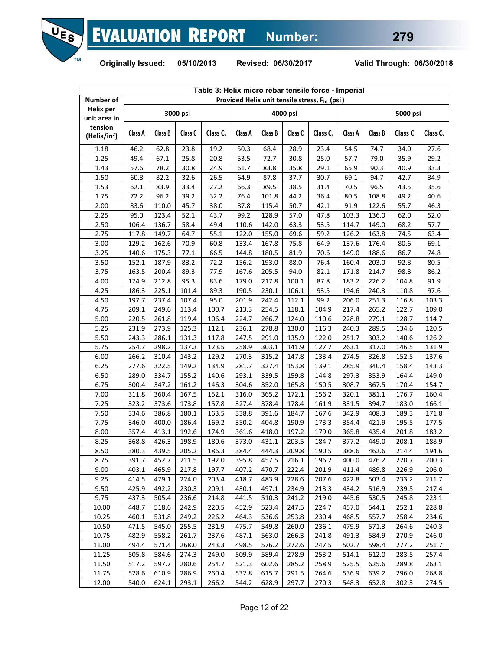

| Table 3: Helix micro rebar tensile force - Imperial<br>Provided Helix unit tensile stress, F <sub>ht</sub> (psi) |         |         |          |                      |         |         |          |             |         |         |          |                      |
|------------------------------------------------------------------------------------------------------------------|---------|---------|----------|----------------------|---------|---------|----------|-------------|---------|---------|----------|----------------------|
| Number of                                                                                                        |         |         |          |                      |         |         |          |             |         |         |          |                      |
| <b>Helix per</b><br>unit area in                                                                                 |         |         | 3000 psi |                      |         |         | 4000 psi |             |         |         | 5000 psi |                      |
| tension<br>(Helix/in <sup>2</sup> )                                                                              | Class A | Class B | Class C  | Class C <sub>s</sub> | Class A | Class B | Class C  | Class $C_s$ | Class A | Class B | Class C  | Class C <sub>s</sub> |
| 1.18                                                                                                             | 46.2    | 62.8    | 23.8     | 19.2                 | 50.3    | 68.4    | 28.9     | 23.4        | 54.5    | 74.7    | 34.0     | 27.6                 |
| 1.25                                                                                                             | 49.4    | 67.1    | 25.8     | 20.8                 | 53.5    | 72.7    | 30.8     | 25.0        | 57.7    | 79.0    | 35.9     | 29.2                 |
| 1.43                                                                                                             | 57.6    | 78.2    | 30.8     | 24.9                 | 61.7    | 83.8    | 35.8     | 29.1        | 65.9    | 90.3    | 40.9     | 33.3                 |
| 1.50                                                                                                             | 60.8    | 82.2    | 32.6     | 26.5                 | 64.9    | 87.8    | 37.7     | 30.7        | 69.1    | 94.7    | 42.7     | 34.9                 |
| 1.53                                                                                                             | 62.1    | 83.9    | 33.4     | 27.2                 | 66.3    | 89.5    | 38.5     | 31.4        | 70.5    | 96.5    | 43.5     | 35.6                 |
| 1.75                                                                                                             | 72.2    | 96.2    | 39.2     | 32.2                 | 76.4    | 101.8   | 44.2     | 36.4        | 80.5    | 108.8   | 49.2     | 40.6                 |
| 2.00                                                                                                             | 83.6    | 110.0   | 45.7     | 38.0                 | 87.8    | 115.4   | 50.7     | 42.1        | 91.9    | 122.6   | 55.7     | 46.3                 |
| 2.25                                                                                                             | 95.0    | 123.4   | 52.1     | 43.7                 | 99.2    | 128.9   | 57.0     | 47.8        | 103.3   | 136.0   | 62.0     | 52.0                 |
| 2.50                                                                                                             | 106.4   | 136.7   | 58.4     | 49.4                 | 110.6   | 142.0   | 63.3     | 53.5        | 114.7   | 149.0   | 68.2     | 57.7                 |
| 2.75                                                                                                             | 117.8   | 149.7   | 64.7     | 55.1                 | 122.0   | 155.0   | 69.6     | 59.2        | 126.2   | 163.8   | 74.5     | 63.4                 |
| 3.00                                                                                                             | 129.2   | 162.6   | 70.9     | 60.8                 | 133.4   | 167.8   | 75.8     | 64.9        | 137.6   | 176.4   | 80.6     | 69.1                 |
| 3.25                                                                                                             | 140.6   | 175.3   | 77.1     | 66.5                 | 144.8   | 180.5   | 81.9     | 70.6        | 149.0   | 188.6   | 86.7     | 74.8                 |
| 3.50                                                                                                             | 152.1   | 187.9   | 83.2     | 72.2                 | 156.2   | 193.0   | 88.0     | 76.4        | 160.4   | 203.0   | 92.8     | 80.5                 |
| 3.75                                                                                                             | 163.5   | 200.4   | 89.3     | 77.9                 | 167.6   | 205.5   | 94.0     | 82.1        | 171.8   | 214.7   | 98.8     | 86.2                 |
| 4.00                                                                                                             | 174.9   | 212.8   | 95.3     | 83.6                 | 179.0   | 217.8   | 100.1    | 87.8        | 183.2   | 226.2   | 104.8    | 91.9                 |
| 4.25                                                                                                             | 186.3   | 225.1   | 101.4    | 89.3                 | 190.5   | 230.1   | 106.1    | 93.5        | 194.6   | 240.3   | 110.8    | 97.6                 |
| 4.50                                                                                                             | 197.7   | 237.4   | 107.4    | 95.0                 | 201.9   | 242.4   | 112.1    | 99.2        | 206.0   | 251.3   | 116.8    | 103.3                |
| 4.75                                                                                                             | 209.1   | 249.6   | 113.4    | 100.7                | 213.3   | 254.5   | 118.1    | 104.9       | 217.4   | 265.2   | 122.7    | 109.0                |
| 5.00                                                                                                             | 220.5   | 261.8   | 119.4    | 106.4                | 224.7   | 266.7   | 124.0    | 110.6       | 228.8   | 279.1   | 128.7    | 114.7                |
| 5.25                                                                                                             | 231.9   | 273.9   | 125.3    | 112.1                | 236.1   | 278.8   | 130.0    | 116.3       | 240.3   | 289.5   | 134.6    | 120.5                |
| 5.50                                                                                                             | 243.3   | 286.1   | 131.3    | 117.8                | 247.5   | 291.0   | 135.9    | 122.0       | 251.7   | 303.2   | 140.6    | 126.2                |
| 5.75                                                                                                             | 254.7   | 298.2   | 137.3    | 123.5                | 258.9   | 303.1   | 141.9    | 127.7       | 263.1   | 317.0   | 146.5    | 131.9                |
| 6.00                                                                                                             | 266.2   | 310.4   | 143.2    | 129.2                | 270.3   | 315.2   | 147.8    | 133.4       | 274.5   | 326.8   | 152.5    | 137.6                |
| 6.25                                                                                                             | 277.6   | 322.5   | 149.2    | 134.9                | 281.7   | 327.4   | 153.8    | 139.1       | 285.9   | 340.4   | 158.4    | 143.3                |
| 6.50                                                                                                             | 289.0   | 334.7   | 155.2    | 140.6                | 293.1   | 339.5   | 159.8    | 144.8       | 297.3   | 353.9   | 164.4    | 149.0                |
| 6.75                                                                                                             | 300.4   | 347.2   | 161.2    | 146.3                | 304.6   | 352.0   | 165.8    | 150.5       | 308.7   | 367.5   | 170.4    | 154.7                |
| 7.00                                                                                                             | 311.8   | 360.4   | 167.5    | 152.1                | 316.0   | 365.2   | 172.1    | 156.2       | 320.1   | 381.1   | 176.7    | 160.4                |
| 7.25                                                                                                             | 323.2   | 373.6   | 173.8    | 157.8                | 327.4   | 378.4   | 178.4    | 161.9       | 331.5   | 394.7   | 183.0    | 166.1                |
| 7.50                                                                                                             | 334.6   | 386.8   | 180.1    | 163.5                | 338.8   | 391.6   | 184.7    | 167.6       | 342.9   | 408.3   | 189.3    | 171.8                |
| 7.75                                                                                                             | 346.0   | 400.0   | 186.4    | 169.2                | 350.2   | 404.8   | 190.9    | 173.3       | 354.4   | 421.9   | 195.5    | 177.5                |
| 8.00                                                                                                             | 357.4   | 413.1   | 192.6    | 174.9                | 361.6   | 418.0   | 197.2    | 179.0       | 365.8   | 435.4   | 201.8    | 183.2                |
| 8.25                                                                                                             | 368.8   | 426.3   | 198.9    | 180.6                | 373.0   | 431.1   | 203.5    | 184.7       | 377.2   | 449.0   | 208.1    | 188.9                |
| 8.50                                                                                                             | 380.3   | 439.5   | 205.2    | 186.3                | 384.4   | 444.3   | 209.8    | 190.5       | 388.6   | 462.6   | 214.4    | 194.6                |
| 8.75                                                                                                             | 391.7   | 452.7   | 211.5    | 192.0                | 395.8   | 457.5   | 216.1    | 196.2       | 400.0   | 476.2   | 220.7    | 200.3                |
| 9.00                                                                                                             | 403.1   | 465.9   | 217.8    | 197.7                | 407.2   | 470.7   | 222.4    | 201.9       | 411.4   | 489.8   | 226.9    | 206.0                |
| 9.25                                                                                                             | 414.5   | 479.1   | 224.0    | 203.4                | 418.7   | 483.9   | 228.6    | 207.6       | 422.8   | 503.4   | 233.2    | 211.7                |
| 9.50                                                                                                             | 425.9   | 492.2   | 230.3    | 209.1                | 430.1   | 497.1   | 234.9    | 213.3       | 434.2   | 516.9   | 239.5    | 217.4                |
| 9.75                                                                                                             | 437.3   | 505.4   | 236.6    | 214.8                | 441.5   | 510.3   | 241.2    | 219.0       | 445.6   | 530.5   | 245.8    | 223.1                |
| 10.00                                                                                                            | 448.7   | 518.6   | 242.9    | 220.5                | 452.9   | 523.4   | 247.5    | 224.7       | 457.0   | 544.1   | 252.1    | 228.8                |
| 10.25                                                                                                            | 460.1   | 531.8   | 249.2    | 226.2                | 464.3   | 536.6   | 253.8    | 230.4       | 468.5   | 557.7   | 258.4    | 234.6                |
| 10.50                                                                                                            | 471.5   | 545.0   | 255.5    | 231.9                | 475.7   | 549.8   | 260.0    | 236.1       | 479.9   | 571.3   | 264.6    | 240.3                |
| 10.75                                                                                                            | 482.9   | 558.2   | 261.7    | 237.6                | 487.1   | 563.0   | 266.3    | 241.8       | 491.3   | 584.9   | 270.9    | 246.0                |
| 11.00                                                                                                            | 494.4   | 571.4   | 268.0    | 243.3                | 498.5   | 576.2   | 272.6    | 247.5       | 502.7   | 598.4   | 277.2    | 251.7                |
| 11.25                                                                                                            | 505.8   | 584.6   | 274.3    | 249.0                | 509.9   | 589.4   | 278.9    | 253.2       | 514.1   | 612.0   | 283.5    | 257.4                |
| 11.50                                                                                                            | 517.2   | 597.7   | 280.6    | 254.7                | 521.3   | 602.6   | 285.2    | 258.9       | 525.5   | 625.6   | 289.8    | 263.1                |
| 11.75                                                                                                            | 528.6   | 610.9   | 286.9    | 260.4                | 532.8   | 615.7   | 291.5    | 264.6       | 536.9   | 639.2   | 296.0    | 268.8                |
| 12.00                                                                                                            | 540.0   | 624.1   | 293.1    | 266.2                | 544.2   | 628.9   | 297.7    | 270.3       | 548.3   | 652.8   | 302.3    | 274.5                |
|                                                                                                                  |         |         |          |                      |         |         |          |             |         |         |          |                      |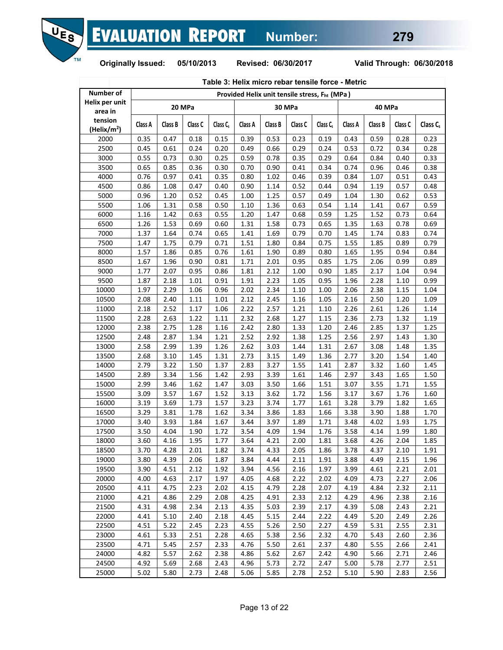

| Table 3: Helix micro rebar tensile force - Metric |              |              |              |                      |              |              |              |                                                           |              |              |              |                     |
|---------------------------------------------------|--------------|--------------|--------------|----------------------|--------------|--------------|--------------|-----------------------------------------------------------|--------------|--------------|--------------|---------------------|
| <b>Number of</b>                                  |              |              |              |                      |              |              |              | Provided Helix unit tensile stress, F <sub>ht</sub> (MPa) |              |              |              |                     |
| Helix per unit<br>area in                         |              |              | 20 MPa       |                      |              |              | 30 MPa       |                                                           |              | 40 MPa       |              |                     |
| tension<br>(Helix/m <sup>2</sup> )                | Class A      | Class B      | Class C      | Class C <sub>s</sub> | Class A      | Class B      | Class C      | Class C <sub>s</sub>                                      | Class A      | Class B      | Class C      | Class <sub>Cs</sub> |
| 2000                                              | 0.35         | 0.47         | 0.18         | 0.15                 | 0.39         | 0.53         | 0.23         | 0.19                                                      | 0.43         | 0.59         | 0.28         | 0.23                |
| 2500                                              | 0.45         | 0.61         | 0.24         | 0.20                 | 0.49         | 0.66         | 0.29         | 0.24                                                      | 0.53         | 0.72         | 0.34         | 0.28                |
| 3000                                              | 0.55         | 0.73         | 0.30         | 0.25                 | 0.59         | 0.78         | 0.35         | 0.29                                                      | 0.64         | 0.84         | 0.40         | 0.33                |
| 3500                                              | 0.65         | 0.85         | 0.36         | 0.30                 | 0.70         | 0.90         | 0.41         | 0.34                                                      | 0.74         | 0.96         | 0.46         | 0.38                |
| 4000                                              | 0.76         | 0.97         | 0.41         | 0.35                 | 0.80         | 1.02         | 0.46         | 0.39                                                      | 0.84         | 1.07         | 0.51         | 0.43                |
| 4500                                              | 0.86         | 1.08         | 0.47         | 0.40                 | 0.90         | 1.14         | 0.52         | 0.44                                                      | 0.94         | 1.19         | 0.57         | 0.48                |
| 5000                                              | 0.96         | 1.20         | 0.52         | 0.45                 | 1.00         | 1.25         | 0.57         | 0.49                                                      | 1.04         | 1.30         | 0.62         | 0.53                |
| 5500                                              | 1.06         | 1.31         | 0.58         | 0.50                 | 1.10         | 1.36         | 0.63         | 0.54                                                      | 1.14         | 1.41         | 0.67         | 0.59                |
| 6000                                              | 1.16         | 1.42         | 0.63         | 0.55                 | 1.20         | 1.47         | 0.68         | 0.59                                                      | 1.25         | 1.52         | 0.73         | 0.64                |
| 6500                                              | 1.26         | 1.53         | 0.69         | 0.60                 | 1.31         | 1.58         | 0.73         | 0.65                                                      | 1.35         | 1.63         | 0.78         | 0.69                |
| 7000                                              | 1.37         | 1.64         | 0.74         | 0.65                 | 1.41         | 1.69         | 0.79         | 0.70                                                      | 1.45         | 1.74         | 0.83         | 0.74                |
| 7500                                              | 1.47         | 1.75         | 0.79         | 0.71                 | 1.51         | 1.80         | 0.84         | 0.75                                                      | 1.55         | 1.85         | 0.89         | 0.79                |
| 8000                                              | 1.57         | 1.86         | 0.85         | 0.76                 | 1.61         | 1.90         | 0.89         | 0.80                                                      | 1.65         | 1.95         | 0.94         | 0.84                |
| 8500                                              | 1.67         | 1.96         | 0.90         | 0.81                 | 1.71         | 2.01         | 0.95         | 0.85                                                      | 1.75         | 2.06         | 0.99         | 0.89                |
| 9000                                              | 1.77         | 2.07         | 0.95         | 0.86                 | 1.81         | 2.12         | 1.00         | 0.90                                                      | 1.85         | 2.17         | 1.04         | 0.94                |
| 9500                                              | 1.87         | 2.18         | 1.01         | 0.91                 | 1.91         | 2.23         | 1.05         | 0.95                                                      | 1.96         | 2.28         | 1.10         | 0.99                |
| 10000                                             | 1.97         | 2.29         | 1.06         | 0.96                 | 2.02         | 2.34         | 1.10         | 1.00                                                      | 2.06         | 2.38         | 1.15         | 1.04                |
| 10500                                             | 2.08         | 2.40         | 1.11         | 1.01                 | 2.12         | 2.45         | 1.16         | 1.05                                                      | 2.16         | 2.50         | 1.20         | 1.09                |
| 11000                                             | 2.18         | 2.52         | 1.17         | 1.06                 | 2.22         | 2.57         | 1.21         | 1.10                                                      | 2.26         | 2.61         | 1.26         | 1.14                |
| 11500                                             | 2.28         | 2.63         | 1.22         | 1.11                 | 2.32         | 2.68         | 1.27         | 1.15                                                      | 2.36         | 2.73         | 1.32         | 1.19                |
| 12000                                             | 2.38         | 2.75         | 1.28         | 1.16                 | 2.42         | 2.80         | 1.33         | 1.20                                                      | 2.46         | 2.85         | 1.37         | 1.25                |
| 12500                                             | 2.48         | 2.87         | 1.34         | 1.21                 | 2.52         | 2.92         | 1.38         | 1.25                                                      | 2.56         | 2.97         | 1.43         | 1.30                |
| 13000                                             | 2.58         | 2.99         | 1.39         | 1.26                 | 2.62         | 3.03         | 1.44         | 1.31                                                      | 2.67         | 3.08         | 1.48         | 1.35                |
| 13500                                             | 2.68         | 3.10         | 1.45         | 1.31                 | 2.73         | 3.15         | 1.49         | 1.36                                                      | 2.77         | 3.20         | 1.54         | 1.40                |
| 14000                                             | 2.79         | 3.22         | 1.50         | 1.37                 | 2.83         | 3.27         | 1.55         | 1.41                                                      | 2.87         | 3.32         | 1.60         | 1.45                |
| 14500                                             | 2.89         | 3.34         | 1.56         | 1.42                 | 2.93         | 3.39         | 1.61         | 1.46                                                      | 2.97         | 3.43         | 1.65         | 1.50                |
| 15000                                             | 2.99         | 3.46         | 1.62         | 1.47                 | 3.03         | 3.50         | 1.66         | 1.51                                                      | 3.07         | 3.55         | 1.71         | 1.55                |
| 15500                                             | 3.09         | 3.57         | 1.67         | 1.52                 | 3.13         | 3.62         | 1.72         | 1.56                                                      | 3.17         | 3.67         | 1.76         | 1.60                |
| 16000                                             | 3.19         | 3.69         | 1.73         | 1.57                 | 3.23         | 3.74         | 1.77         | 1.61                                                      | 3.28         | 3.79         | 1.82         | 1.65                |
| 16500                                             | 3.29         | 3.81         | 1.78         | 1.62                 | 3.34         | 3.86         | 1.83         | 1.66                                                      | 3.38         | 3.90         | 1.88         | 1.70                |
| 17000                                             | 3.40         | 3.93         | 1.84         | 1.67                 | 3.44         | 3.97         | 1.89         | 1.71                                                      | 3.48         | 4.02         | 1.93         | 1.75                |
| 17500                                             | 3.50         | 4.04         | 1.90         | 1.72                 | 3.54         | 4.09         | 1.94         | 1.76                                                      | 3.58         | 4.14         | 1.99         | 1.80                |
| 18000                                             | 3.60         | 4.16         | 1.95         | 1.77                 | 3.64         | 4.21         | 2.00         | 1.81                                                      | 3.68         | 4.26         | 2.04         | 1.85                |
| 18500                                             |              |              |              | 1.82                 |              |              |              | 1.86                                                      |              |              |              |                     |
| 19000                                             | 3.70<br>3.80 | 4.28<br>4.39 | 2.01<br>2.06 | 1.87                 | 3.74<br>3.84 | 4.33<br>4.44 | 2.05<br>2.11 | 1.91                                                      | 3.78<br>3.88 | 4.37<br>4.49 | 2.10<br>2.15 | 1.91<br>1.96        |
| 19500                                             | 3.90         | 4.51         | 2.12         | 1.92                 | 3.94         | 4.56         | 2.16         | 1.97                                                      | 3.99         | 4.61         | 2.21         | 2.01                |
|                                                   |              |              |              |                      |              |              |              |                                                           |              |              |              | 2.06                |
| 20000<br>20500                                    | 4.00<br>4.11 | 4.63<br>4.75 | 2.17<br>2.23 | 1.97<br>2.02         | 4.05<br>4.15 | 4.68<br>4.79 | 2.22<br>2.28 | 2.02<br>2.07                                              | 4.09<br>4.19 | 4.73<br>4.84 | 2.27<br>2.32 | 2.11                |
| 21000                                             | 4.21         | 4.86         | 2.29         | 2.08                 |              | 4.91         | 2.33         |                                                           |              |              | 2.38         |                     |
|                                                   |              |              |              |                      | 4.25         |              |              | 2.12                                                      | 4.29         | 4.96         |              | 2.16                |
| 21500                                             | 4.31         | 4.98         | 2.34         | 2.13                 | 4.35         | 5.03         | 2.39         | 2.17                                                      | 4.39         | 5.08         | 2.43         | 2.21                |
| 22000                                             | 4.41         | 5.10         | 2.40         | 2.18                 | 4.45         | 5.15         | 2.44         | 2.22                                                      | 4.49         | 5.20         | 2.49         | 2.26                |
| 22500                                             | 4.51         | 5.22         | 2.45         | 2.23                 | 4.55         | 5.26         | 2.50         | 2.27                                                      | 4.59         | 5.31         | 2.55         | 2.31                |
| 23000                                             | 4.61         | 5.33         | 2.51         | 2.28                 | 4.65         | 5.38         | 2.56         | 2.32                                                      | 4.70         | 5.43         | 2.60         | 2.36                |
| 23500                                             | 4.71         | 5.45         | 2.57         | 2.33                 | 4.76         | 5.50         | 2.61         | 2.37                                                      | 4.80         | 5.55         | 2.66         | 2.41                |
| 24000                                             | 4.82         | 5.57         | 2.62         | 2.38                 | 4.86         | 5.62         | 2.67         | 2.42                                                      | 4.90         | 5.66         | 2.71         | 2.46                |
| 24500                                             | 4.92         | 5.69         | 2.68         | 2.43                 | 4.96         | 5.73         | 2.72         | 2.47                                                      | 5.00         | 5.78         | 2.77         | 2.51                |
| 25000                                             | 5.02         | 5.80         | 2.73         | 2.48                 | 5.06         | 5.85         | 2.78         | 2.52                                                      | 5.10         | 5.90         | 2.83         | 2.56                |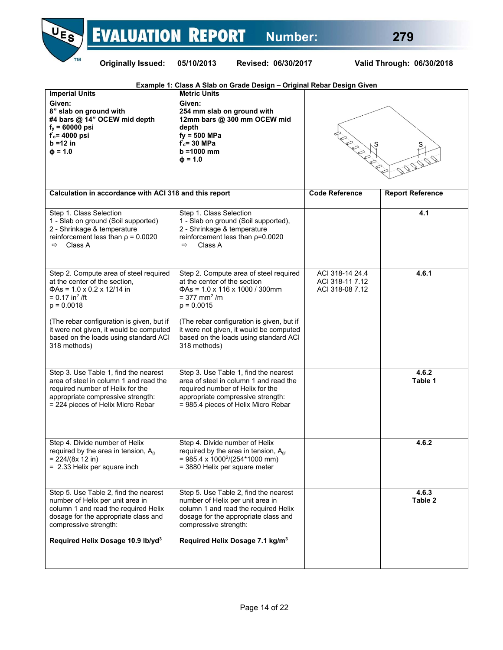# **NES EVALUATION REPORT** Number: 279



| Example 1: Class A Slab on Grade Design - Original Rebar Design Given                                                                                                                                                                               |                                                                                                                                                                                                                                                      |                                                       |                         |  |  |  |  |  |
|-----------------------------------------------------------------------------------------------------------------------------------------------------------------------------------------------------------------------------------------------------|------------------------------------------------------------------------------------------------------------------------------------------------------------------------------------------------------------------------------------------------------|-------------------------------------------------------|-------------------------|--|--|--|--|--|
| <b>Imperial Units</b>                                                                                                                                                                                                                               | <b>Metric Units</b>                                                                                                                                                                                                                                  |                                                       |                         |  |  |  |  |  |
| Given:<br>8" slab on ground with<br>#4 bars @ 14" OCEW mid depth<br>$f_y = 60000 \text{ psi}$<br>$f_c = 4000$ psi<br>$b = 12$ in<br>$\Phi = 1.0$                                                                                                    | Given:<br>254 mm slab on ground with<br>12mm bars @ 300 mm OCEW mid<br>depth<br>$fy = 500$ MPa<br>$f_c = 30$ MPa<br>$b = 1000$ mm<br>$\Phi = 1.0$                                                                                                    | TON BOOM                                              | S<br>222222             |  |  |  |  |  |
| Calculation in accordance with ACI 318 and this report                                                                                                                                                                                              |                                                                                                                                                                                                                                                      | <b>Code Reference</b>                                 | <b>Report Reference</b> |  |  |  |  |  |
| Step 1. Class Selection<br>1 - Slab on ground (Soil supported)<br>2 - Shrinkage & temperature<br>reinforcement less than $p = 0.0020$<br>Class A<br>$\Rightarrow$                                                                                   | Step 1. Class Selection<br>1 - Slab on ground (Soil supported),<br>2 - Shrinkage & temperature<br>reinforcement less than $p=0.0020$<br>Class A<br>$\Rightarrow$                                                                                     |                                                       | 4.1                     |  |  |  |  |  |
| Step 2. Compute area of steel required<br>at the center of the section,<br>$\Phi$ As = 1.0 x 0.2 x 12/14 in<br>$= 0.17$ in <sup>2</sup> /ft<br>$p = 0.0018$<br>(The rebar configuration is given, but if<br>it were not given, it would be computed | Step 2. Compute area of steel required<br>at the center of the section<br>$\Phi$ As = 1.0 x 116 x 1000 / 300mm<br>$= 377$ mm <sup>2</sup> /m<br>$p = 0.0015$<br>(The rebar configuration is given, but if<br>it were not given, it would be computed | ACI 318-14 24.4<br>ACI 318-11 7.12<br>ACI 318-08 7.12 | 4.6.1                   |  |  |  |  |  |
| based on the loads using standard ACI<br>318 methods)                                                                                                                                                                                               | based on the loads using standard ACI<br>318 methods)                                                                                                                                                                                                |                                                       |                         |  |  |  |  |  |
| Step 3. Use Table 1, find the nearest<br>area of steel in column 1 and read the<br>required number of Helix for the<br>appropriate compressive strength:<br>= 224 pieces of Helix Micro Rebar                                                       | Step 3. Use Table 1, find the nearest<br>area of steel in column 1 and read the<br>required number of Helix for the<br>appropriate compressive strength:<br>= 985.4 pieces of Helix Micro Rebar                                                      |                                                       | 4.6.2<br>Table 1        |  |  |  |  |  |
| Step 4. Divide number of Helix<br>required by the area in tension, $A_q$<br>$= 224/(8x 12 \text{ in})$<br>= 2.33 Helix per square inch                                                                                                              | Step 4. Divide number of Helix<br>required by the area in tension, $A_{q}$ .<br>$= 985.4 \times 1000^{2}/(254*1000 \text{ mm})$<br>= 3880 Helix per square meter                                                                                     |                                                       | 4.6.2                   |  |  |  |  |  |
| Step 5. Use Table 2, find the nearest<br>number of Helix per unit area in<br>column 1 and read the required Helix<br>dosage for the appropriate class and<br>compressive strength:<br>Required Helix Dosage 10.9 lb/yd <sup>3</sup>                 | Step 5. Use Table 2, find the nearest<br>number of Helix per unit area in<br>column 1 and read the required Helix<br>dosage for the appropriate class and<br>compressive strength:<br>Required Helix Dosage 7.1 kg/m <sup>3</sup>                    |                                                       | 4.6.3<br>Table 2        |  |  |  |  |  |
|                                                                                                                                                                                                                                                     |                                                                                                                                                                                                                                                      |                                                       |                         |  |  |  |  |  |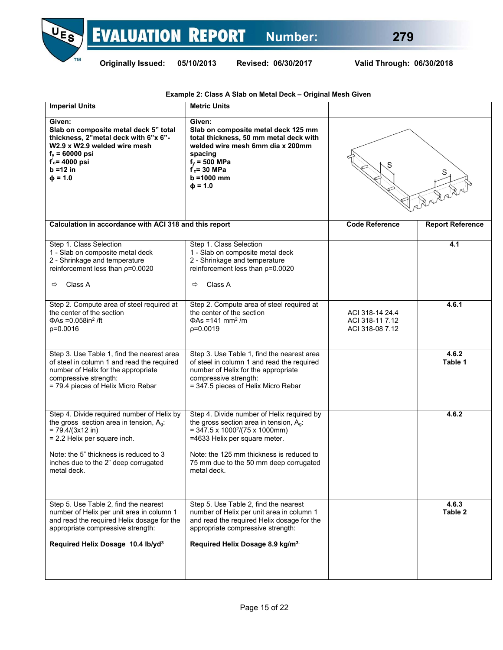



| <b>Imperial Units</b>                                                                                                                                                                                                                            | <b>Metric Units</b>                                                                                                                                                                                                                                                            |                                                       |                         |  |
|--------------------------------------------------------------------------------------------------------------------------------------------------------------------------------------------------------------------------------------------------|--------------------------------------------------------------------------------------------------------------------------------------------------------------------------------------------------------------------------------------------------------------------------------|-------------------------------------------------------|-------------------------|--|
| Given:<br>Slab on composite metal deck 5" total<br>thickness, 2"metal deck with 6"x 6"-<br>W2.9 x W2.9 welded wire mesh<br>$f_v = 60000 \text{ psi}$<br>$f_c$ = 4000 psi<br>b =12 in<br>$\Phi = 1.0$                                             | Given:<br>Slab on composite metal deck 125 mm<br>total thickness, 50 mm metal deck with<br>welded wire mesh 6mm dia x 200mm<br>spacing<br>$f_y = 500$ MPa<br>$f_c$ = 30 MPa<br>$b = 1000$ mm<br>$\Phi = 1.0$                                                                   |                                                       | S                       |  |
| Calculation in accordance with ACI 318 and this report                                                                                                                                                                                           |                                                                                                                                                                                                                                                                                | <b>Code Reference</b>                                 | <b>Report Reference</b> |  |
| Step 1. Class Selection<br>1 - Slab on composite metal deck<br>2 - Shrinkage and temperature<br>reinforcement less than $p=0.0020$<br>Class A<br>⇨                                                                                               | Step 1. Class Selection<br>1 - Slab on composite metal deck<br>2 - Shrinkage and temperature<br>reinforcement less than $p=0.0020$<br>Class A<br>⇨                                                                                                                             |                                                       | 4.1                     |  |
| Step 2. Compute area of steel required at<br>the center of the section<br>$\Phi$ As = 0.058in <sup>2</sup> /ft<br>$p=0.0016$                                                                                                                     | Step 2. Compute area of steel required at<br>the center of the section<br>$\Phi$ As =141 mm <sup>2</sup> /m<br>$p=0.0019$                                                                                                                                                      | ACI 318-14 24.4<br>ACI 318-11 7.12<br>ACI 318-08 7.12 | 4.6.1                   |  |
| Step 3. Use Table 1, find the nearest area<br>of steel in column 1 and read the required<br>number of Helix for the appropriate<br>compressive strength:<br>= 79.4 pieces of Helix Micro Rebar                                                   | Step 3. Use Table 1, find the nearest area<br>of steel in column 1 and read the required<br>number of Helix for the appropriate<br>compressive strength:<br>= 347.5 pieces of Helix Micro Rebar                                                                                |                                                       | 4.6.2<br>Table 1        |  |
| Step 4. Divide required number of Helix by<br>the gross section area in tension, $A_q$ .<br>$= 79.4/(3x12)$ in)<br>= 2.2 Helix per square inch.<br>Note: the 5" thickness is reduced to 3<br>inches due to the 2" deep corrugated<br>metal deck. | Step 4. Divide number of Helix required by<br>the gross section area in tension, $A_q$ :<br>$=$ 347.5 x 1000 <sup>2</sup> /(75 x 1000mm)<br>=4633 Helix per square meter.<br>Note: the 125 mm thickness is reduced to<br>75 mm due to the 50 mm deep corrugated<br>metal deck. |                                                       | 4.6.2                   |  |
| Step 5. Use Table 2, find the nearest<br>number of Helix per unit area in column 1<br>and read the required Helix dosage for the<br>appropriate compressive strength:<br>Required Helix Dosage 10.4 lb/yd <sup>3</sup>                           | Step 5. Use Table 2, find the nearest<br>number of Helix per unit area in column 1<br>and read the required Helix dosage for the<br>appropriate compressive strength:<br>Required Helix Dosage 8.9 kg/m <sup>3.</sup>                                                          |                                                       | 4.6.3<br>Table 2        |  |
|                                                                                                                                                                                                                                                  |                                                                                                                                                                                                                                                                                |                                                       |                         |  |

**Example 2: Class A Slab on Metal Deck – Original Mesh Given**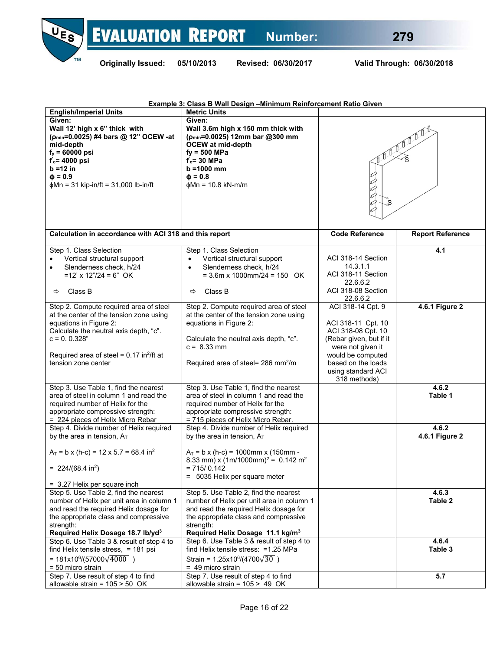

|                                                                                                                                                                                                                                                           | Example 3: Class B Wall Design - Minimum Reinforcement Ratio Given                                                                                                                                                       |                                                                                                                                                                                                |                         |
|-----------------------------------------------------------------------------------------------------------------------------------------------------------------------------------------------------------------------------------------------------------|--------------------------------------------------------------------------------------------------------------------------------------------------------------------------------------------------------------------------|------------------------------------------------------------------------------------------------------------------------------------------------------------------------------------------------|-------------------------|
| <b>English/Imperial Units</b>                                                                                                                                                                                                                             | <b>Metric Units</b>                                                                                                                                                                                                      |                                                                                                                                                                                                |                         |
| Given:<br>Wall 12' high x 6" thick with<br>(p <sub>min</sub> =0.0025) #4 bars @ 12" OCEW -at<br>mid-depth<br>$f_y = 60000$ psi<br>$f_c = 4000$ psi<br>$b = 12$ in<br>$\Phi = 0.9$<br>$\phi$ Mn = 31 kip-in/ft = 31,000 lb-in/ft                           | Given:<br>Wall 3.6m high x 150 mm thick with<br>(p <sub>min</sub> =0.0025) 12mm bar @300 mm<br><b>OCEW</b> at mid-depth<br>$fy = 500$ MPa<br>$f_c = 30$ MPa<br>$b = 1000$ mm<br>$\Phi = 0.8$<br>$\phi$ Mn = 10.8 kN-m/m  |                                                                                                                                                                                                |                         |
| Calculation in accordance with ACI 318 and this report                                                                                                                                                                                                    |                                                                                                                                                                                                                          | <b>Code Reference</b>                                                                                                                                                                          | <b>Report Reference</b> |
| Step 1. Class Selection<br>Vertical structural support<br>Slenderness check, h/24<br>$\bullet$<br>$=12' \times 12''/24 = 6''$ OK<br>Class B<br>⇨                                                                                                          | Step 1. Class Selection<br>Vertical structural support<br>$\bullet$<br>Slenderness check, h/24<br>$\bullet$<br>$= 3.6$ m x 1000mm/24 = 150 OK<br>Class B<br>⇨                                                            | ACI 318-14 Section<br>14.3.1.1<br>ACI 318-11 Section<br>22.6.6.2<br>ACI 318-08 Section<br>22.6.6.2                                                                                             | 4.1                     |
| Step 2. Compute required area of steel<br>at the center of the tension zone using<br>equations in Figure 2:<br>Calculate the neutral axis depth, "c".<br>$c = 0.0.328$ "<br>Required area of steel = $0.17$ in <sup>2</sup> /ft at<br>tension zone center | Step 2. Compute required area of steel<br>at the center of the tension zone using<br>equations in Figure 2:<br>Calculate the neutral axis depth, "c".<br>$c = 8.33$ mm<br>Required area of steel= 286 mm <sup>2</sup> /m | ACI 318-14 Cpt. 9<br>ACI 318-11 Cpt. 10<br>ACI 318-08 Cpt. 10<br>(Rebar given, but if it<br>were not given it<br>would be computed<br>based on the loads<br>using standard ACI<br>318 methods) | 4.6.1 Figure 2          |
| Step 3. Use Table 1, find the nearest<br>area of steel in column 1 and read the<br>required number of Helix for the<br>appropriate compressive strength:<br>= 224 pieces of Helix Micro Rebar                                                             | Step 3. Use Table 1, find the nearest<br>area of steel in column 1 and read the<br>required number of Helix for the<br>appropriate compressive strength:<br>= 715 pieces of Helix Micro Rebar.                           |                                                                                                                                                                                                | 4.6.2<br>Table 1        |
| Step 4. Divide number of Helix required<br>by the area in tension, $A_T$                                                                                                                                                                                  | Step 4. Divide number of Helix required<br>by the area in tension, $A_T$                                                                                                                                                 |                                                                                                                                                                                                | 4.6.2<br>4.6.1 Figure 2 |
| $A_T = b \times (h-c) = 12 \times 5.7 = 68.4$ in <sup>2</sup><br>= $224/(68.4 \text{ in}^2)$                                                                                                                                                              | $A_T = b \times (h-c) = 1000$ mm x (150mm -<br>8.33 mm) x $(1m/1000mm)^2$ = 0.142 m <sup>2</sup><br>$= 715/0.142$<br>= 5035 Helix per square meter                                                                       |                                                                                                                                                                                                |                         |
| = 3.27 Helix per square inch<br>Step 5. Use Table 2, find the nearest                                                                                                                                                                                     | Step 5. Use Table 2, find the nearest                                                                                                                                                                                    |                                                                                                                                                                                                | 4.6.3                   |
| number of Helix per unit area in column 1<br>and read the required Helix dosage for<br>the appropriate class and compressive<br>strength:<br>Required Helix Dosage 18.7 lb/yd <sup>3</sup>                                                                | number of Helix per unit area in column 1<br>and read the required Helix dosage for<br>the appropriate class and compressive<br>strength:<br>Required Helix Dosage 11.1 kg/m <sup>3</sup>                                |                                                                                                                                                                                                | Table 2                 |
| Step 6. Use Table 3 & result of step 4 to<br>find Helix tensile stress, = 181 psi<br>= $181x10^{6}/(57000\sqrt{4000})$<br>= 50 micro strain                                                                                                               | Step 6. Use Table 3 & result of step 4 to<br>find Helix tensile stress: = 1.25 MPa<br>Strain = $1.25x10^6/(4700\sqrt{30})$<br>$= 49$ micro strain                                                                        |                                                                                                                                                                                                | 4.6.4<br>Table 3        |
| Step 7. Use result of step 4 to find<br>allowable strain = $105 > 50$ OK                                                                                                                                                                                  | Step 7. Use result of step 4 to find<br>allowable strain = $105 > 49$ OK                                                                                                                                                 |                                                                                                                                                                                                | 5.7                     |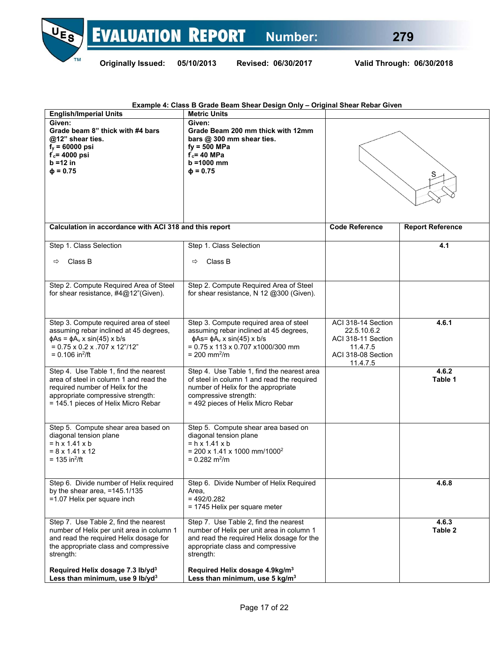

| Example 4: Class B Grade Beam Shear Design Only - Original Shear Rebar Given |
|------------------------------------------------------------------------------|
|------------------------------------------------------------------------------|

| <b>English/Imperial Units</b>                                                                                                                                                                                               | <b>Metric Units</b>                                                                                                                                                                                                       |                                                                                                       |                         |  |
|-----------------------------------------------------------------------------------------------------------------------------------------------------------------------------------------------------------------------------|---------------------------------------------------------------------------------------------------------------------------------------------------------------------------------------------------------------------------|-------------------------------------------------------------------------------------------------------|-------------------------|--|
| Given:<br>Grade beam 8" thick with #4 bars<br>@12" shear ties.<br>$f_v = 60000 \text{ psi}$<br>$f_c$ = 4000 psi<br>$b = 12$ in<br>$\Phi = 0.75$                                                                             | Given:<br>Grade Beam 200 mm thick with 12mm<br>bars @ 300 mm shear ties.<br>$fy = 500$ MPa<br>$f_c = 40$ MPa<br>$b = 1000$ mm<br>$\Phi = 0.75$                                                                            |                                                                                                       |                         |  |
| Calculation in accordance with ACI 318 and this report                                                                                                                                                                      |                                                                                                                                                                                                                           | <b>Code Reference</b>                                                                                 | <b>Report Reference</b> |  |
| Step 1. Class Selection                                                                                                                                                                                                     | Step 1. Class Selection                                                                                                                                                                                                   |                                                                                                       | 4.1                     |  |
| Class B<br>⇨                                                                                                                                                                                                                | Class B<br>⇨                                                                                                                                                                                                              |                                                                                                       |                         |  |
| Step 2. Compute Required Area of Steel<br>for shear resistance, #4@12"(Given).                                                                                                                                              | Step 2. Compute Required Area of Steel<br>for shear resistance, N 12 @300 (Given).                                                                                                                                        |                                                                                                       |                         |  |
| Step 3. Compute required area of steel<br>assuming rebar inclined at 45 degrees,<br>$\phi$ As = $\phi$ A <sub>v</sub> x sin(45) x b/s<br>$= 0.75 \times 0.2 \times 0.707 \times 12''/12''$<br>$= 0.106$ in <sup>2</sup> /ft | Step 3. Compute required area of steel<br>assuming rebar inclined at 45 degrees,<br>$\phi$ As= $\phi$ A <sub>v</sub> x sin(45) x b/s<br>$= 0.75 \times 113 \times 0.707 \times 1000/300$ mm<br>$= 200$ mm <sup>2</sup> /m | ACI 318-14 Section<br>22.5.10.6.2<br>ACI 318-11 Section<br>11.4.7.5<br>ACI 318-08 Section<br>11.4.7.5 | 4.6.1                   |  |
| Step 4. Use Table 1, find the nearest<br>area of steel in column 1 and read the<br>required number of Helix for the<br>appropriate compressive strength:<br>= 145.1 pieces of Helix Micro Rebar                             | Step 4. Use Table 1, find the nearest area<br>of steel in column 1 and read the required<br>number of Helix for the appropriate<br>compressive strength:<br>= 492 pieces of Helix Micro Rebar                             |                                                                                                       | 4.6.2<br>Table 1        |  |
| Step 5. Compute shear area based on<br>diagonal tension plane<br>$= h \times 1.41 \times b$<br>$= 8 \times 1.41 \times 12$<br>= 135 in <sup>2</sup> /ft                                                                     | Step 5. Compute shear area based on<br>diagonal tension plane<br>$= h \times 1.41 \times b$<br>$= 200 \times 1.41 \times 1000$ mm/1000 <sup>2</sup><br>$= 0.282$ m <sup>2</sup> /m                                        |                                                                                                       |                         |  |
| Step 6. Divide number of Helix required<br>by the shear area, $=145.1/135$<br>=1.07 Helix per square inch                                                                                                                   | Step 6. Divide Number of Helix Required<br>Area,<br>$= 492/0.282$<br>= 1745 Helix per square meter                                                                                                                        |                                                                                                       | 4.6.8                   |  |
| Step 7. Use Table 2, find the nearest<br>number of Helix per unit area in column 1<br>and read the required Helix dosage for<br>the appropriate class and compressive<br>strength:                                          | Step 7. Use Table 2, find the nearest<br>number of Helix per unit area in column 1<br>and read the required Helix dosage for the<br>appropriate class and compressive<br>strength:                                        |                                                                                                       | 4.6.3<br>Table 2        |  |
| Required Helix dosage 7.3 lb/yd <sup>3</sup><br>Less than minimum, use 9 lb/yd <sup>3</sup>                                                                                                                                 | Required Helix dosage 4.9kg/m <sup>3</sup><br>Less than minimum, use 5 kg/m <sup>3</sup>                                                                                                                                  |                                                                                                       |                         |  |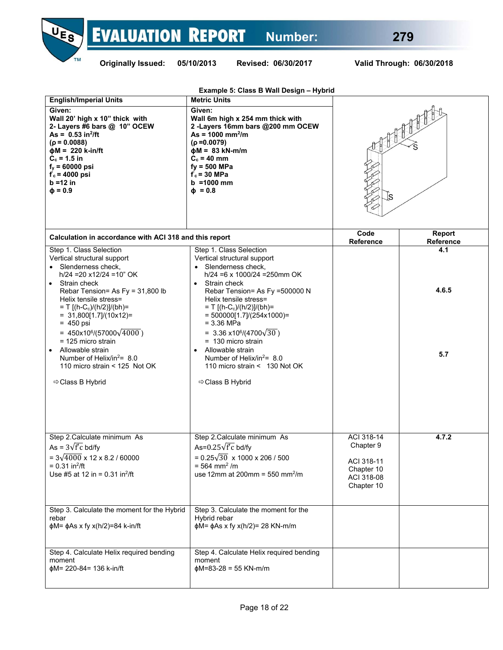



|                                                                                                                                                                                                                                                                                                                                                                                                                                                                    | Example 5: Class B Wall Design - Hybrid                                                                                                                                                                                                                                                                                                                                                                                                                                                   |                                                                                 |                     |  |  |
|--------------------------------------------------------------------------------------------------------------------------------------------------------------------------------------------------------------------------------------------------------------------------------------------------------------------------------------------------------------------------------------------------------------------------------------------------------------------|-------------------------------------------------------------------------------------------------------------------------------------------------------------------------------------------------------------------------------------------------------------------------------------------------------------------------------------------------------------------------------------------------------------------------------------------------------------------------------------------|---------------------------------------------------------------------------------|---------------------|--|--|
| <b>English/Imperial Units</b><br>Given:<br>Wall 20' high x 10" thick with<br>2- Layers #6 bars @ 10" OCEW<br>As = $0.53 \text{ in}^2/\text{ft}$<br>$(p = 0.0088)$<br>$\phi M = 220$ k-in/ft<br>$C_c = 1.5$ in<br>$f_y = 60000 \text{ psi}$<br>$f_c = 4000$ psi<br>$b = 12$ in<br>$\Phi = 0.9$                                                                                                                                                                      | <b>Metric Units</b><br>Given:<br>Wall 6m high x 254 mm thick with<br>2-Layers 16mm bars @200 mm OCEW<br>$As = 1000 \text{ mm}^2/\text{m}$<br>$(p = 0.0079)$<br>$\phi$ M = 83 kN-m/m<br>$C_c = 40$ mm<br>$fy = 500$ MPa<br>$f_c$ = 30 MPa<br>$b = 1000$ mm<br>$\Phi = 0.8$                                                                                                                                                                                                                 | S                                                                               |                     |  |  |
| Calculation in accordance with ACI 318 and this report                                                                                                                                                                                                                                                                                                                                                                                                             |                                                                                                                                                                                                                                                                                                                                                                                                                                                                                           | Code<br>Reference                                                               | Report<br>Reference |  |  |
| Step 1. Class Selection<br>Vertical structural support<br>• Slenderness check,<br>$h/24 = 20 x12/24 = 10" OK$<br>• Strain check<br>Rebar Tension= As Fy = 31,800 lb<br>Helix tensile stress=<br>$= T$ [(h-C <sub>c</sub> )/(h/2)]/(bh)=<br>$= 31,800[1.7]/(10x12) =$<br>$= 450$ psi<br>= $450x10^{6}/(57000\sqrt{4000})$<br>= 125 micro strain<br>Allowable strain<br>Number of Helix/in <sup>2</sup> = 8.0<br>110 micro strain $<$ 125 Not OK<br>⇔ Class B Hybrid | Step 1. Class Selection<br>Vertical structural support<br>• Slenderness check,<br>$h/24 = 6 \times 1000/24 = 250$ mm OK<br>• Strain check<br>Rebar Tension= As Fy =500000 N<br>Helix tensile stress=<br>$= T$ [(h-C <sub>c</sub> )/(h/2)]/(bh)=<br>$= 500000[1.7]/(254x1000)$ =<br>$= 3.36$ MPa<br>= 3.36 x10 <sup>6</sup> /(4700 $\sqrt{30}$ )<br>$= 130$ micro strain<br>Allowable strain<br>Number of Helix/in <sup>2</sup> = 8.0<br>110 micro strain < 130 Not OK<br>⇔ Class B Hybrid |                                                                                 | 4.1<br>4.6.5<br>5.7 |  |  |
| Step 2. Calculate minimum As<br>As = $3\sqrt{f'c}$ bd/fv<br>$= 3\sqrt{4000} \times 12 \times 8.2 / 60000$<br>$= 0.31$ in <sup>2</sup> /ft<br>Use #5 at 12 in = $0.31$ in <sup>2</sup> /ft                                                                                                                                                                                                                                                                          | Step 2. Calculate minimum As<br>As= $0.25\sqrt{f'c}$ bd/fy<br>$= 0.25\sqrt{30} \times 1000 \times 206 / 500$<br>$= 564$ mm <sup>2</sup> /m<br>use 12mm at 200mm = 550 mm <sup>2</sup> /m                                                                                                                                                                                                                                                                                                  | ACI 318-14<br>Chapter 9<br>ACI 318-11<br>Chapter 10<br>ACI 318-08<br>Chapter 10 | 4.7.2               |  |  |
| Step 3. Calculate the moment for the Hybrid<br>rebar<br>$\phi$ M= $\phi$ As x fy x(h/2)=84 k-in/ft                                                                                                                                                                                                                                                                                                                                                                 | Step 3. Calculate the moment for the<br>Hybrid rebar<br>$\phi$ M= $\phi$ As x fy x(h/2)= 28 KN-m/m                                                                                                                                                                                                                                                                                                                                                                                        |                                                                                 |                     |  |  |
| Step 4. Calculate Helix required bending<br>moment<br>фМ= 220-84= 136 k-in/ft                                                                                                                                                                                                                                                                                                                                                                                      | Step 4. Calculate Helix required bending<br>moment<br>$\phi$ M=83-28 = 55 KN-m/m                                                                                                                                                                                                                                                                                                                                                                                                          |                                                                                 |                     |  |  |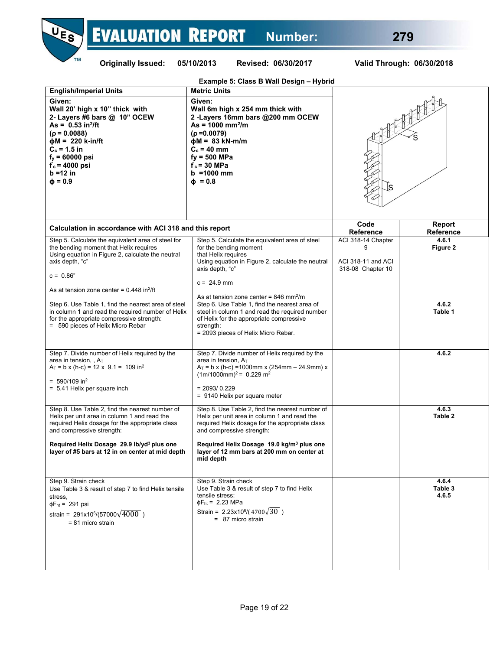

 $C_c = 40$  mm **fy = 500 MPa f ' c = 30 MPa b =1000 mm ɸ = 0.8** 

**Cc = 1.5 in fy = 60000 psi f ' c = 4000 psi b =12 in**   $φ = 0.9$ 

| Calculation in accordance with ACI 318 and this report                                                                                                                                                    |                                                                                                                                                                                                                               | Code<br><b>Reference</b>                                      | Report<br><b>Reference</b> |
|-----------------------------------------------------------------------------------------------------------------------------------------------------------------------------------------------------------|-------------------------------------------------------------------------------------------------------------------------------------------------------------------------------------------------------------------------------|---------------------------------------------------------------|----------------------------|
| Step 5. Calculate the equivalent area of steel for<br>the bending moment that Helix requires<br>Using equation in Figure 2, calculate the neutral<br>axis depth, "c"<br>$c = 0.86"$                       | Step 5. Calculate the equivalent area of steel<br>for the bending moment<br>that Helix requires<br>Using equation in Figure 2, calculate the neutral<br>axis depth, "c"                                                       | ACI 318-14 Chapter<br>ACI 318-11 and ACI<br>318-08 Chapter 10 | 4.6.1<br>Figure 2          |
| As at tension zone center = $0.448$ in <sup>2</sup> /ft                                                                                                                                                   | $c = 24.9$ mm<br>As at tension zone center = $846$ mm <sup>2</sup> /m                                                                                                                                                         |                                                               |                            |
| Step 6. Use Table 1, find the nearest area of steel<br>in column 1 and read the required number of Helix<br>for the appropriate compressive strength:<br>= 590 pieces of Helix Micro Rebar                | Step 6. Use Table 1, find the nearest area of<br>steel in column 1 and read the required number<br>of Helix for the appropriate compressive<br>strength:<br>= 2093 pieces of Helix Micro Rebar.                               |                                                               | 4.6.2<br>Table 1           |
| Step 7. Divide number of Helix required by the<br>area in tension, $A_T$<br>$A_T = b \times (h-c) = 12 \times 9.1 = 109$ in <sup>2</sup><br>$= 590/109$ in <sup>2</sup><br>$= 5.41$ Helix per square inch | Step 7. Divide number of Helix required by the<br>area in tension. $Ar$<br>$A_T = b \times (h-c) = 1000$ mm x (254mm – 24.9mm) x<br>$(1m/1000mm)^2$ = 0.229 m <sup>2</sup><br>$= 2093/0.229$<br>= 9140 Helix per square meter |                                                               | 4.6.2                      |
| Step 8. Use Table 2, find the nearest number of<br>Helix per unit area in column 1 and read the<br>required Helix dosage for the appropriate class<br>and compressive strength:                           | Step 8. Use Table 2, find the nearest number of<br>Helix per unit area in column 1 and read the<br>required Helix dosage for the appropriate class<br>and compressive strength:                                               |                                                               | 4.6.3<br>Table 2           |
| Required Helix Dosage 29.9 lb/yd <sup>3</sup> plus one<br>layer of #5 bars at 12 in on center at mid depth                                                                                                | Required Helix Dosage 19.0 kg/m <sup>3</sup> plus one<br>layer of 12 mm bars at 200 mm on center at<br>mid depth                                                                                                              |                                                               |                            |
| Step 9. Strain check<br>Use Table 3 & result of step 7 to find Helix tensile<br>stress,<br>$\Phi$ F <sub>ht</sub> = 291 psi<br>strain = $291x10^6/(57000\sqrt{4000})$<br>$= 81$ micro strain              | Step 9. Strain check<br>Use Table 3 & result of step 7 to find Helix<br>tensile stress:<br>$\Phi$ F <sub>ht</sub> = 2.23 MPa<br>Strain = $2.23 \times 10^6 / (4700 \sqrt{30})$<br>$= 87$ micro strain                         |                                                               | 4.6.4<br>Table 3<br>4.6.5  |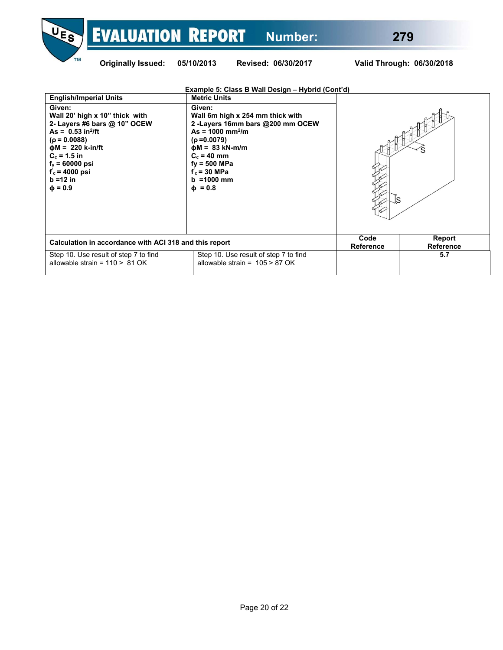

|  | Valid Through: 06/30/2018 |
|--|---------------------------|
|  |                           |

| Example 5: Class B Wall Design - Hybrid (Cont'd)                                                                                                                                                                                                             |                                                                                                                                                                                                                                           |                            |     |  |  |  |  |  |  |
|--------------------------------------------------------------------------------------------------------------------------------------------------------------------------------------------------------------------------------------------------------------|-------------------------------------------------------------------------------------------------------------------------------------------------------------------------------------------------------------------------------------------|----------------------------|-----|--|--|--|--|--|--|
| <b>English/Imperial Units</b>                                                                                                                                                                                                                                | <b>Metric Units</b>                                                                                                                                                                                                                       |                            |     |  |  |  |  |  |  |
| Given:<br>Wall 20' high x 10" thick with<br>2- Layers #6 bars @ 10" OCEW<br>As = $0.53 \text{ in}^2/\text{ft}$<br>$(p = 0.0088)$<br>$\phi M = 220$ k-in/ft<br>$C_c = 1.5$ in<br>$f_v = 60000 \text{ psi}$<br>$f_c$ = 4000 psi<br>$b = 12$ in<br>$\Phi = 0.9$ | Given:<br>Wall 6m high x 254 mm thick with<br>2-Layers 16mm bars @200 mm OCEW<br>$As = 1000 \text{ mm}^2/m$<br>$(p=0.0079)$<br>$\phi M = 83$ kN-m/m<br>$C_c = 40$ mm<br>$fy = 500$ MPa<br>$f_c$ = 30 MPa<br>$b = 1000$ mm<br>$\Phi = 0.8$ |                            |     |  |  |  |  |  |  |
| Calculation in accordance with ACI 318 and this report                                                                                                                                                                                                       | Code<br>Reference                                                                                                                                                                                                                         | Report<br><b>Reference</b> |     |  |  |  |  |  |  |
| Step 10. Use result of step 7 to find<br>allowable strain = $110 > 81$ OK                                                                                                                                                                                    | Step 10. Use result of step 7 to find<br>allowable strain = $105 > 87$ OK                                                                                                                                                                 |                            | 5.7 |  |  |  |  |  |  |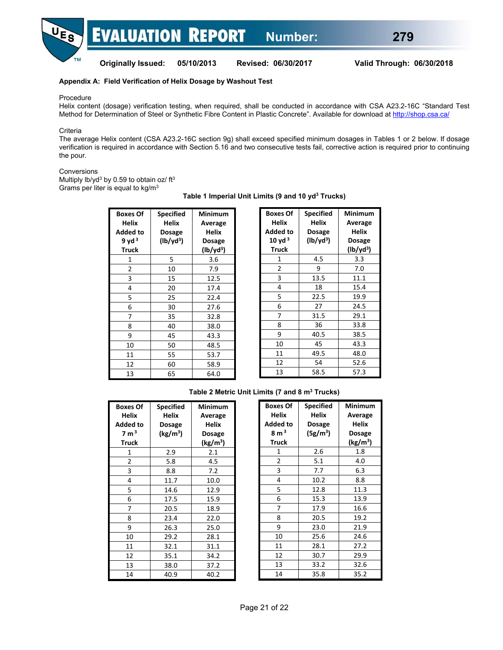#### **Appendix A: Field Verification of Helix Dosage by Washout Test**

Procedure

**TM** 

Helix content (dosage) verification testing, when required, shall be conducted in accordance with CSA A23.2-16C "Standard Test Method for Determination of Steel or Synthetic Fibre Content in Plastic Concrete". Available for download at http://shop.csa.ca/

**Criteria** 

The average Helix content (CSA A23.2-16C section 9g) shall exceed specified minimum dosages in Tables 1 or 2 below. If dosage verification is required in accordance with Section 5.16 and two consecutive tests fail, corrective action is required prior to continuing the pour.

#### Conversions

Multiply lb/yd<sup>3</sup> by 0.59 to obtain oz/ $ft^3$ Grams per liter is equal to kg/m3

| <b>Boxes Of</b><br>Helix<br>Added to<br>9 yd <sup>3</sup><br>Truck | <b>Specified</b><br>Helix<br>Dosage<br>$(lb/yd^3)$ | Minimum<br>Average<br>Helix<br>Dosage<br>$(lb/yd^3)$ |
|--------------------------------------------------------------------|----------------------------------------------------|------------------------------------------------------|
| 1                                                                  | 5                                                  | 3.6                                                  |
| 2                                                                  | 10                                                 | 7.9                                                  |
| 3                                                                  | 15                                                 | 12.5                                                 |
| 4                                                                  | 20                                                 | 17.4                                                 |
| 5                                                                  | 25                                                 | 22.4                                                 |
| 6                                                                  | 30                                                 | 27.6                                                 |
| 7                                                                  | 35                                                 | 32.8                                                 |
| 8                                                                  | 40                                                 | 38.0                                                 |
| 9                                                                  | 45                                                 | 43.3                                                 |
| 10                                                                 | 50                                                 | 48.5                                                 |
| 11                                                                 | 55                                                 | 53.7                                                 |
| 12                                                                 | 60                                                 | 58.9                                                 |
| 13                                                                 | 65                                                 | 64.0                                                 |

#### **Table 1 Imperial Unit Limits (9 and 10 yd3 Trucks)**

| <b>Boxes Of</b> | <b>Specified</b> | Minimum       |
|-----------------|------------------|---------------|
| <b>Helix</b>    | <b>Helix</b>     | Average       |
| <b>Added to</b> | Dosage           | <b>Helix</b>  |
| $10$ yd $3$     | $(lb/yd^3)$      | <b>Dosage</b> |
| Truck           |                  | $(lb/yd^3)$   |
| 1               | 4.5              | 3.3           |
| 2               | 9                | 7.0           |
| 3               | 13.5             | 11.1          |
| 4               | 18               | 15.4          |
| 5               | 22.5             | 19.9          |
| 6               | 27               | 24.5          |
| 7               | 31.5             | 29.1          |
| 8               | 36               | 33.8          |
| 9               | 40.5             | 38.5          |
| 10              | 45               | 43.3          |
| 11              | 49.5             | 48.0          |
| 12              | 54               | 52.6          |
| 13              | 58.5             | 57.3          |

#### **Table 2 Metric Unit Limits (7 and 8 m3 Trucks)**

| <b>Boxes Of</b><br>Helix<br><b>Added to</b><br>7 m <sup>3</sup> | <b>Specified</b><br>Helix<br>Dosage<br>(kg/m <sup>3</sup> ) | Minimum<br>Average<br><b>Helix</b><br>Dosage |
|-----------------------------------------------------------------|-------------------------------------------------------------|----------------------------------------------|
| <b>Truck</b>                                                    |                                                             | (kg/m <sup>3</sup> )                         |
| 1                                                               | 2.9                                                         | 2.1                                          |
| 2                                                               | 5.8                                                         | 4.5                                          |
| 3                                                               | 8.8                                                         | 7.2                                          |
| 4                                                               | 11.7                                                        | 10.0                                         |
| 5                                                               | 14.6                                                        | 12.9                                         |
| 6                                                               | 17.5                                                        | 15.9                                         |
| 7                                                               | 20.5                                                        | 18.9                                         |
| 8                                                               | 23.4                                                        | 22.0                                         |
| 9                                                               | 26.3                                                        | 25.0                                         |
| 10                                                              | 29.2                                                        | 28.1                                         |
| 11                                                              | 32.1                                                        | 31.1                                         |
| 12                                                              | 35.1                                                        | 34.2                                         |
| 13                                                              | 38.0                                                        | 37.2                                         |
| 14                                                              | 40.9                                                        | 40.2                                         |

| <b>Boxes Of</b><br>Helix<br><b>Added to</b> | <b>Specified</b><br>Helix<br><b>Dosage</b> | Minimum<br>Average<br>Helix |
|---------------------------------------------|--------------------------------------------|-----------------------------|
| $8 \text{ m}^3$                             | $(5g/m^3)$                                 | <b>Dosage</b>               |
| Truck                                       |                                            | (kg/m <sup>3</sup> )        |
| 1                                           | 2.6                                        | 1.8                         |
| 2                                           | 5.1                                        | 4.0                         |
| 3                                           | 7.7                                        | 6.3                         |
| 4                                           | 10.2                                       | 8.8                         |
| 5                                           | 12.8                                       | 11.3                        |
| 6                                           | 15.3                                       | 13.9                        |
| 7                                           | 17.9                                       | 16.6                        |
| 8                                           | 20.5                                       | 19.2                        |
| 9                                           | 23.0                                       | 21.9                        |
| 10                                          | 25.6                                       | 24.6                        |
| 11                                          | 28.1                                       | 27.2                        |
| 12                                          | 30.7                                       | 29.9                        |
| 13                                          | 33.2                                       | 32.6                        |
| 14                                          | 35.8                                       | 35.2                        |